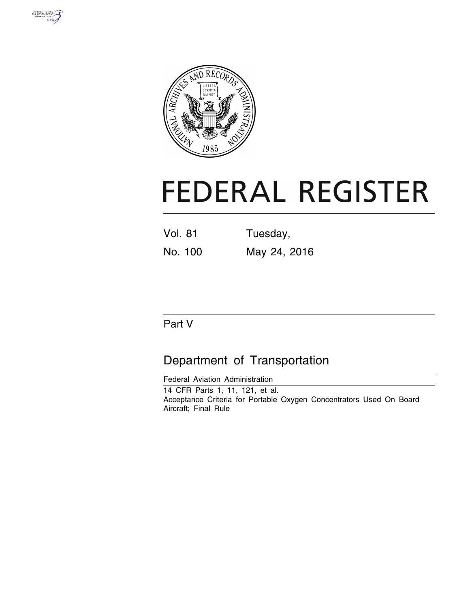



# **FEDERAL REGISTER**

| <b>Vol. 81</b> | Tuesday,     |  |
|----------------|--------------|--|
| No. 100        | May 24, 2016 |  |

# Part V

# Department of Transportation

Federal Aviation Administration 14 CFR Parts 1, 11, 121, et al. Acceptance Criteria for Portable Oxygen Concentrators Used On Board Aircraft; Final Rule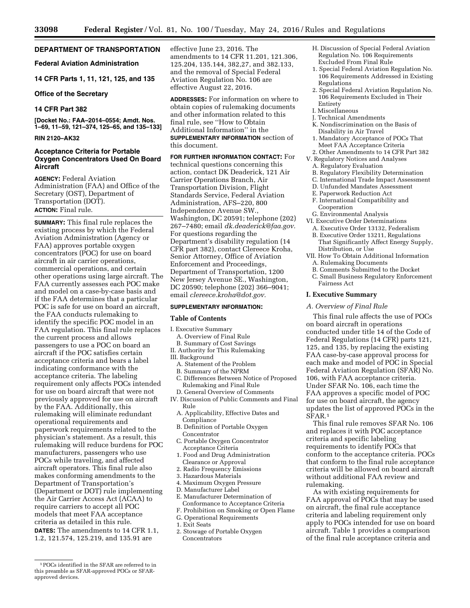# **DEPARTMENT OF TRANSPORTATION**

# **Federal Aviation Administration**

**14 CFR Parts 1, 11, 121, 125, and 135** 

#### **Office of the Secretary**

# **14 CFR Part 382**

**[Docket No.: FAA–2014–0554; Amdt. Nos. 1–69, 11–59, 121–374, 125–65, and 135–133]** 

# **RIN 2120–AK32**

### **Acceptance Criteria for Portable Oxygen Concentrators Used On Board Aircraft**

**AGENCY:** Federal Aviation Administration (FAA) and Office of the Secretary (OST), Department of Transportation (DOT). **ACTION:** Final rule.

**SUMMARY:** This final rule replaces the existing process by which the Federal Aviation Administration (Agency or FAA) approves portable oxygen concentrators (POC) for use on board aircraft in air carrier operations, commercial operations, and certain other operations using large aircraft. The FAA currently assesses each POC make and model on a case-by-case basis and if the FAA determines that a particular POC is safe for use on board an aircraft, the FAA conducts rulemaking to identify the specific POC model in an FAA regulation. This final rule replaces the current process and allows passengers to use a POC on board an aircraft if the POC satisfies certain acceptance criteria and bears a label indicating conformance with the acceptance criteria. The labeling requirement only affects POCs intended for use on board aircraft that were not previously approved for use on aircraft by the FAA. Additionally, this rulemaking will eliminate redundant operational requirements and paperwork requirements related to the physician's statement. As a result, this rulemaking will reduce burdens for POC manufacturers, passengers who use POCs while traveling, and affected aircraft operators. This final rule also makes conforming amendments to the Department of Transportation's (Department or DOT) rule implementing the Air Carrier Access Act (ACAA) to require carriers to accept all POC models that meet FAA acceptance criteria as detailed in this rule. **DATES:** The amendments to 14 CFR 1.1, 1.2, 121.574, 125.219, and 135.91 are

effective June 23, 2016. The amendments to 14 CFR 11.201, 121.306, 125.204, 135.144, 382,27, and 382.133, and the removal of Special Federal Aviation Regulation No. 106 are effective August 22, 2016.

**ADDRESSES:** For information on where to obtain copies of rulemaking documents and other information related to this final rule, see ''How to Obtain Additional Information'' in the **SUPPLEMENTARY INFORMATION** section of this document.

**FOR FURTHER INFORMATION CONTACT:** For technical questions concerning this action, contact DK Deaderick, 121 Air Carrier Operations Branch, Air Transportation Division, Flight Standards Service, Federal Aviation Administration, AFS–220, 800 Independence Avenue SW., Washington, DC 20591; telephone (202) 267–7480; email *[dk.deaderick@faa.gov.](mailto:dk.deaderick@faa.gov)*  For questions regarding the Department's disability regulation (14 CFR part 382), contact Clereece Kroha, Senior Attorney, Office of Aviation Enforcement and Proceedings, Department of Transportation, 1200 New Jersey Avenue SE., Washington, DC 20590; telephone (202) 366–9041; email *[clereece.kroha@dot.gov.](mailto:clereece.kroha@dot.gov)* 

#### **SUPPLEMENTARY INFORMATION:**

#### **Table of Contents**

I. Executive Summary

- A. Overview of Final Rule B. Summary of Cost Savings
- II. Authority for This Rulemaking
- III. Background
- A. Statement of the Problem
- B. Summary of the NPRM
- C. Differences Between Notice of Proposed Rulemaking and Final Rule
- D. General Overview of Comments IV. Discussion of Public Comments and Final Rule
	- A. Applicability, Effective Dates and **Compliance**
	- B. Definition of Portable Oxygen Concentrator
	- C. Portable Oxygen Concentrator Acceptance Criteria
	- 1. Food and Drug Administration Clearance or Approval
	- 2. Radio Frequency Emissions
	- 3. Hazardous Materials
	- 4. Maximum Oxygen Pressure
	- D. Manufacturer Label
	- E. Manufacturer Determination of Conformance to Acceptance Criteria
	- F. Prohibition on Smoking or Open Flame
	- G. Operational Requirements
	- 1. Exit Seats
	- 2. Stowage of Portable Oxygen Concentrators
- H. Discussion of Special Federal Aviation Regulation No. 106 Requirements Excluded From Final Rule
- 1. Special Federal Aviation Regulation No. 106 Requirements Addressed in Existing Regulations
- 2. Special Federal Aviation Regulation No. 106 Requirements Excluded in Their Entirety
- I. Miscellaneous
- J. Technical Amendments
- K. Nondiscrimination on the Basis of Disability in Air Travel
- 1. Mandatory Acceptance of POCs That Meet FAA Acceptance Criteria
- 2. Other Amendments to 14 CFR Part 382 V. Regulatory Notices and Analyses
	- A. Regulatory Evaluation
	- B. Regulatory Flexibility Determination
	- C. International Trade Impact Assessment
	- D. Unfunded Mandates Assessment
	- E. Paperwork Reduction Act F. International Compatibility and Cooperation
- G. Environmental Analysis
- VI. Executive Order Determinations
	- A. Executive Order 13132, Federalism
	- B. Executive Order 13211, Regulations
- That Significantly Affect Energy Supply, Distribution, or Use VII. How To Obtain Additional Information
- A. Rulemaking Documents
- B. Comments Submitted to the Docket
- C. Small Business Regulatory Enforcement Fairness Act

# **I. Executive Summary**

# *A. Overview of Final Rule*

This final rule affects the use of POCs on board aircraft in operations conducted under title 14 of the Code of Federal Regulations (14 CFR) parts 121, 125, and 135, by replacing the existing FAA case-by-case approval process for each make and model of POC in Special Federal Aviation Regulation (SFAR) No. 106, with FAA acceptance criteria. Under SFAR No. 106, each time the FAA approves a specific model of POC for use on board aircraft, the agency updates the list of approved POCs in the SFAR.1

This final rule removes SFAR No. 106 and replaces it with POC acceptance criteria and specific labeling requirements to identify POCs that conform to the acceptance criteria. POCs that conform to the final rule acceptance criteria will be allowed on board aircraft without additional FAA review and rulemaking.

As with existing requirements for FAA approval of POCs that may be used on aircraft, the final rule acceptance criteria and labeling requirement only apply to POCs intended for use on board aircraft. Table 1 provides a comparison of the final rule acceptance criteria and

<sup>1</sup>POCs identified in the SFAR are referred to in this preamble as SFAR-approved POCs or SFARapproved devices.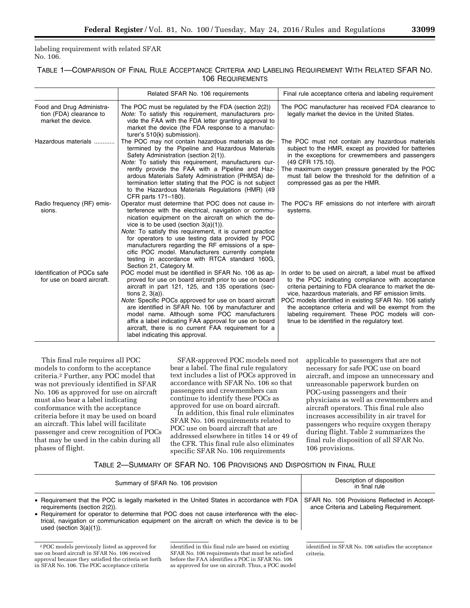labeling requirement with related SFAR No. 106.

# TABLE 1—COMPARISON OF FINAL RULE ACCEPTANCE CRITERIA AND LABELING REQUIREMENT WITH RELATED SFAR NO. 106 REQUIREMENTS

|                                                                            | Related SFAR No. 106 requirements                                                                                                                                                                                                                                                                                                                                                                                                                                                                                        | Final rule acceptance criteria and labeling requirement                                                                                                                                                                                                                                                                                                                                                                                             |
|----------------------------------------------------------------------------|--------------------------------------------------------------------------------------------------------------------------------------------------------------------------------------------------------------------------------------------------------------------------------------------------------------------------------------------------------------------------------------------------------------------------------------------------------------------------------------------------------------------------|-----------------------------------------------------------------------------------------------------------------------------------------------------------------------------------------------------------------------------------------------------------------------------------------------------------------------------------------------------------------------------------------------------------------------------------------------------|
| Food and Drug Administra-<br>tion (FDA) clearance to<br>market the device. | The POC must be regulated by the FDA (section 2(2))<br>Note: To satisfy this requirement, manufacturers pro-<br>vide the FAA with the FDA letter granting approval to<br>market the device (the FDA response to a manufac-<br>turer's 510(k) submission).                                                                                                                                                                                                                                                                | The POC manufacturer has received FDA clearance to<br>legally market the device in the United States.                                                                                                                                                                                                                                                                                                                                               |
| Hazardous materials                                                        | The POC may not contain hazardous materials as de-<br>termined by the Pipeline and Hazardous Materials<br>Safety Administration (section 2(1)).<br>Note: To satisfy this requirement, manufacturers cur-<br>rently provide the FAA with a Pipeline and Haz-<br>ardous Materials Safety Administration (PHMSA) de-<br>termination letter stating that the POC is not subject<br>to the Hazardous Materials Regulations (HMR) (49<br>CFR parts 171-180).                                                                   | The POC must not contain any hazardous materials<br>subject to the HMR, except as provided for batteries<br>in the exceptions for crewmembers and passengers<br>(49 CFR 175.10).<br>The maximum oxygen pressure generated by the POC<br>must fall below the threshold for the definition of a<br>compressed gas as per the HMR.                                                                                                                     |
| Radio frequency (RF) emis-<br>sions.                                       | Operator must determine that POC does not cause in-<br>terference with the electrical, navigation or commu-<br>nication equipment on the aircraft on which the de-<br>vice is to be used (section $3(a)(1)$ ).<br>Note: To satisfy this requirement, it is current practice<br>for operators to use testing data provided by POC<br>manufacturers regarding the RF emissions of a spe-<br>cific POC model. Manufacturers currently complete<br>testing in accordance with RTCA standard 160G,<br>Section 21, Category M. | The POC's RF emissions do not interfere with aircraft<br>systems.                                                                                                                                                                                                                                                                                                                                                                                   |
| Identification of POCs safe<br>for use on board aircraft.                  | POC model must be identified in SFAR No. 106 as ap-<br>proved for use on board aircraft prior to use on board<br>aircraft in part 121, 125, and 135 operations (sec-<br>tions $2, 3(a)$ ).<br>Note: Specific POCs approved for use on board aircraft<br>are identified in SFAR No. 106 by manufacturer and<br>model name. Although some POC manufacturers<br>affix a label indicating FAA approval for use on board<br>aircraft, there is no current FAA requirement for a<br>label indicating this approval.            | In order to be used on aircraft, a label must be affixed<br>to the POC indicating compliance with acceptance<br>criteria pertaining to FDA clearance to market the de-<br>vice, hazardous materials, and RF emission limits.<br>POC models identified in existing SFAR No. 106 satisfy<br>the acceptance criteria and will be exempt from the<br>labeling requirement. These POC models will con-<br>tinue to be identified in the regulatory text. |

This final rule requires all POC models to conform to the acceptance criteria.2 Further, any POC model that was not previously identified in SFAR No. 106 as approved for use on aircraft must also bear a label indicating conformance with the acceptance criteria before it may be used on board an aircraft. This label will facilitate passenger and crew recognition of POCs that may be used in the cabin during all phases of flight.

SFAR-approved POC models need not bear a label. The final rule regulatory text includes a list of POCs approved in accordance with SFAR No. 106 so that passengers and crewmembers can continue to identify these POCs as approved for use on board aircraft.

In addition, this final rule eliminates SFAR No. 106 requirements related to POC use on board aircraft that are addressed elsewhere in titles 14 or 49 of the CFR. This final rule also eliminates specific SFAR No. 106 requirements

applicable to passengers that are not necessary for safe POC use on board aircraft, and impose an unnecessary and unreasonable paperwork burden on POC-using passengers and their physicians as well as crewmembers and aircraft operators. This final rule also increases accessibility in air travel for passengers who require oxygen therapy during flight. Table 2 summarizes the final rule disposition of all SFAR No. 106 provisions.

# TABLE 2—SUMMARY OF SFAR NO. 106 PROVISIONS AND DISPOSITION IN FINAL RULE

| Summary of SFAR No. 106 provision<br>• Requirement that the POC is legally marketed in the United States in accordance with FDA<br>requirements (section 2(2)).<br>• Requirement for operator to determine that POC does not cause interference with the elec-<br>trical, navigation or communication equipment on the aircraft on which the device is to be<br>used (section $3(a)(1)$ ). |  | Description of disposition<br>in final rule<br>SFAR No. 106 Provisions Reflected in Accept-<br>ance Criteria and Labeling Requirement. |  |
|--------------------------------------------------------------------------------------------------------------------------------------------------------------------------------------------------------------------------------------------------------------------------------------------------------------------------------------------------------------------------------------------|--|----------------------------------------------------------------------------------------------------------------------------------------|--|
|                                                                                                                                                                                                                                                                                                                                                                                            |  |                                                                                                                                        |  |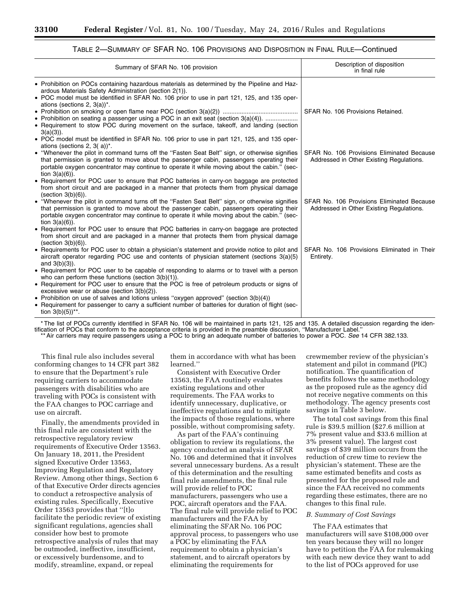| TABLE 2—SUMMARY OF SFAR NO. 106 PROVISIONS AND DISPOSITION IN FINAL RULE—Continued |
|------------------------------------------------------------------------------------|
|------------------------------------------------------------------------------------|

| Summary of SFAR No. 106 provision                                                                                                                                                                                                                                                                                                                                             | Description of disposition<br>in final rule                                            |
|-------------------------------------------------------------------------------------------------------------------------------------------------------------------------------------------------------------------------------------------------------------------------------------------------------------------------------------------------------------------------------|----------------------------------------------------------------------------------------|
| • Prohibition on POCs containing hazardous materials as determined by the Pipeline and Haz-<br>ardous Materials Safety Administration (section 2(1)).<br>• POC model must be identified in SFAR No. 106 prior to use in part 121, 125, and 135 oper-<br>ations (sections 2, $3(a)$ )*.<br>• Prohibition on seating a passenger using a POC in an exit seat (section 3(a)(4)). | SFAR No. 106 Provisions Retained.                                                      |
| • Requirement to stow POC during movement on the surface, takeoff, and landing (section<br>$3(a)(3)$ ).<br>• POC model must be identified in SFAR No. 106 prior to use in part 121, 125, and 135 oper-<br>ations (sections 2, 3( $a$ ) <sup>*</sup> .                                                                                                                         |                                                                                        |
| • "Whenever the pilot in command turns off the "Fasten Seat Belt" sign, or otherwise signifies<br>that permission is granted to move about the passenger cabin, passengers operating their<br>portable oxygen concentrator may continue to operate it while moving about the cabin." (sec-<br>tion $3(a)(6)$ ).                                                               | SFAR No. 106 Provisions Eliminated Because<br>Addressed in Other Existing Regulations. |
| • Requirement for POC user to ensure that POC batteries in carry-on baggage are protected<br>from short circuit and are packaged in a manner that protects them from physical damage<br>(section 3(b)(6)).                                                                                                                                                                    |                                                                                        |
| • "Whenever the pilot in command turns off the "Fasten Seat Belt" sign, or otherwise signifies<br>that permission is granted to move about the passenger cabin, passengers operating their<br>portable oxygen concentrator may continue to operate it while moving about the cabin." (sec-<br>tion $3(a)(6)$ ).                                                               | SFAR No. 106 Provisions Eliminated Because<br>Addressed in Other Existing Regulations. |
| • Requirement for POC user to ensure that POC batteries in carry-on baggage are protected<br>from short circuit and are packaged in a manner that protects them from physical damage<br>(section 3(b)(6)).                                                                                                                                                                    |                                                                                        |
| • Requirements for POC user to obtain a physician's statement and provide notice to pilot and<br>aircraft operator regarding POC use and contents of physician statement (sections $3(a)(5)$ )<br>and $3(b)(3)$ ).                                                                                                                                                            | SFAR No. 106 Provisions Eliminated in Their<br>Entirety.                               |
| • Requirement for POC user to be capable of responding to alarms or to travel with a person<br>who can perform these functions (section $3(b)(1)$ ).<br>• Requirement for POC user to ensure that the POC is free of petroleum products or signs of                                                                                                                           |                                                                                        |
| excessive wear or abuse (section $3(b)(2)$ ).<br>• Prohibition on use of salves and lotions unless "oxygen approved" (section $3(b)(4)$ )<br>• Requirement for passenger to carry a sufficient number of batteries for duration of flight (sec-<br>tion $3(b)(5)$ <sup>**</sup> .                                                                                             |                                                                                        |

\* The list of POCs currently identified in SFAR No. 106 will be maintained in parts 121, 125 and 135. A detailed discussion regarding the identification of POCs that conform to the acceptance criteria is provided in the preamble discussion, ''Manufacturer Label.''

\*\* Air carriers may require passengers using a POC to bring an adequate number of batteries to power a POC. *See* 14 CFR 382.133.

This final rule also includes several conforming changes to 14 CFR part 382 to ensure that the Department's rule requiring carriers to accommodate passengers with disabilities who are traveling with POCs is consistent with the FAA changes to POC carriage and use on aircraft.

Finally, the amendments provided in this final rule are consistent with the retrospective regulatory review requirements of Executive Order 13563. On January 18, 2011, the President signed Executive Order 13563, Improving Regulation and Regulatory Review. Among other things, Section 6 of that Executive Order directs agencies to conduct a retrospective analysis of existing rules. Specifically, Executive Order 13563 provides that ''[t]o facilitate the periodic review of existing significant regulations, agencies shall consider how best to promote retrospective analysis of rules that may be outmoded, ineffective, insufficient, or excessively burdensome, and to modify, streamline, expand, or repeal

them in accordance with what has been learned.''

Consistent with Executive Order 13563, the FAA routinely evaluates existing regulations and other requirements. The FAA works to identify unnecessary, duplicative, or ineffective regulations and to mitigate the impacts of those regulations, where possible, without compromising safety.

As part of the FAA's continuing obligation to review its regulations, the agency conducted an analysis of SFAR No. 106 and determined that it involves several unnecessary burdens. As a result of this determination and the resulting final rule amendments, the final rule will provide relief to POC manufacturers, passengers who use a POC, aircraft operators and the FAA. The final rule will provide relief to POC manufacturers and the FAA by eliminating the SFAR No. 106 POC approval process, to passengers who use a POC by eliminating the FAA requirement to obtain a physician's statement, and to aircraft operators by eliminating the requirements for

crewmember review of the physician's statement and pilot in command (PIC) notification. The quantification of benefits follows the same methodology as the proposed rule as the agency did not receive negative comments on this methodology. The agency presents cost savings in Table 3 below.

The total cost savings from this final rule is \$39.5 million (\$27.6 million at 7% present value and \$33.6 million at 3% present value). The largest cost savings of \$39 million occurs from the reduction of crew time to review the physician's statement. These are the same estimated benefits and costs as presented for the proposed rule and since the FAA received no comments regarding these estimates, there are no changes to this final rule.

## *B. Summary of Cost Savings*

The FAA estimates that manufacturers will save \$108,000 over ten years because they will no longer have to petition the FAA for rulemaking with each new device they want to add to the list of POCs approved for use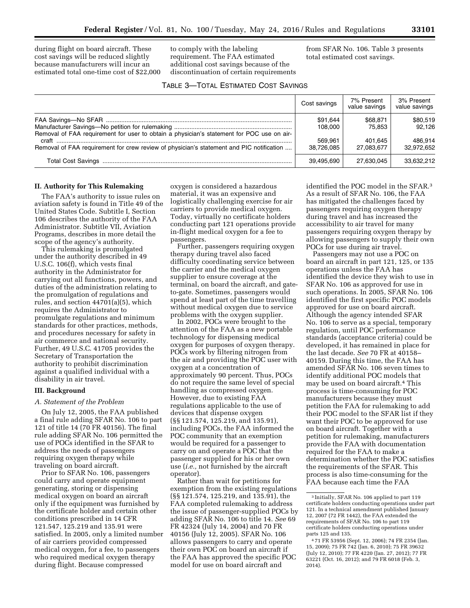during flight on board aircraft. These cost savings will be reduced slightly because manufacturers will incur an estimated total one-time cost of \$22,000 to comply with the labeling requirement. The FAA estimated additional cost savings because of the discontinuation of certain requirements from SFAR No. 106. Table 3 presents total estimated cost savings.

| <b>TABLE 3-TOTAL ESTIMATED COST SAVINGS</b> |  |  |  |
|---------------------------------------------|--|--|--|
|---------------------------------------------|--|--|--|

|                                                                                                    | Cost savings        | 7% Present<br>value savings | 3% Present<br>value savings |
|----------------------------------------------------------------------------------------------------|---------------------|-----------------------------|-----------------------------|
|                                                                                                    | \$91,644<br>108.000 | \$68,871<br>75.853          | \$80.519<br>92.126          |
| Removal of FAA requirement for user to obtain a physician's statement for POC use on air-<br>craft | 569.961             | 401.645                     | 486.914                     |
| Removal of FAA requirement for crew review of physician's statement and PIC notification           | 38.726.085          | 27.083.677                  | 32.972.652                  |
|                                                                                                    | 39,495,690          | 27,630,045                  | 33.632.212                  |

#### **II. Authority for This Rulemaking**

The FAA's authority to issue rules on aviation safety is found in Title 49 of the United States Code. Subtitle I, Section 106 describes the authority of the FAA Administrator. Subtitle VII, Aviation Programs, describes in more detail the scope of the agency's authority.

This rulemaking is promulgated under the authority described in 49 U.S.C. 106(f), which vests final authority in the Administrator for carrying out all functions, powers, and duties of the administration relating to the promulgation of regulations and rules, and section 44701(a)(5), which requires the Administrator to promulgate regulations and minimum standards for other practices, methods, and procedures necessary for safety in air commerce and national security. Further, 49 U.S.C. 41705 provides the Secretary of Transportation the authority to prohibit discrimination against a qualified individual with a disability in air travel.

#### **III. Background**

#### *A. Statement of the Problem*

On July 12, 2005, the FAA published a final rule adding SFAR No. 106 to part 121 of title 14 (70 FR 40156). The final rule adding SFAR No. 106 permitted the use of POCs identified in the SFAR to address the needs of passengers requiring oxygen therapy while traveling on board aircraft.

Prior to SFAR No. 106, passengers could carry and operate equipment generating, storing or dispensing medical oxygen on board an aircraft only if the equipment was furnished by the certificate holder and certain other conditions prescribed in 14 CFR 121.547, 125.219 and 135.91 were satisfied. In 2005, only a limited number of air carriers provided compressed medical oxygen, for a fee, to passengers who required medical oxygen therapy during flight. Because compressed

oxygen is considered a hazardous material, it was an expensive and logistically challenging exercise for air carriers to provide medical oxygen. Today, virtually no certificate holders conducting part 121 operations provide in-flight medical oxygen for a fee to passengers.

Further, passengers requiring oxygen therapy during travel also faced difficulty coordinating service between the carrier and the medical oxygen supplier to ensure coverage at the terminal, on board the aircraft, and gateto-gate. Sometimes, passengers would spend at least part of the time travelling without medical oxygen due to service problems with the oxygen supplier.

In 2002, POCs were brought to the attention of the FAA as a new portable technology for dispensing medical oxygen for purposes of oxygen therapy. POCs work by filtering nitrogen from the air and providing the POC user with oxygen at a concentration of approximately 90 percent. Thus, POCs do not require the same level of special handling as compressed oxygen. However, due to existing FAA regulations applicable to the use of devices that dispense oxygen (§§ 121.574, 125.219, and 135.91), including POCs, the FAA informed the POC community that an exemption would be required for a passenger to carry on and operate a POC that the passenger supplied for his or her own use (*i.e.,* not furnished by the aircraft operator).

Rather than wait for petitions for exemption from the existing regulations (§§ 121.574, 125.219, and 135.91), the FAA completed rulemaking to address the issue of passenger-supplied POCs by adding SFAR No. 106 to title 14. *See* 69 FR 42324 (July 14, 2004) and 70 FR 40156 (July 12, 2005). SFAR No. 106 allows passengers to carry and operate their own POC on board an aircraft if the FAA has approved the specific POC model for use on board aircraft and

identified the POC model in the SFAR.3 As a result of SFAR No. 106, the FAA has mitigated the challenges faced by passengers requiring oxygen therapy during travel and has increased the accessibility to air travel for many passengers requiring oxygen therapy by allowing passengers to supply their own POCs for use during air travel.

Passengers may not use a POC on board an aircraft in part 121, 125, or 135 operations unless the FAA has identified the device they wish to use in SFAR No. 106 as approved for use in such operations. In 2005, SFAR No. 106 identified the first specific POC models approved for use on board aircraft. Although the agency intended SFAR No. 106 to serve as a special, temporary regulation, until POC performance standards (acceptance criteria) could be developed, it has remained in place for the last decade. *See* 70 FR at 40158– 40159. During this time, the FAA has amended SFAR No. 106 seven times to identify additional POC models that may be used on board aircraft.4 This process is time-consuming for POC manufacturers because they must petition the FAA for rulemaking to add their POC model to the SFAR list if they want their POC to be approved for use on board aircraft. Together with a petition for rulemaking, manufacturers provide the FAA with documentation required for the FAA to make a determination whether the POC satisfies the requirements of the SFAR. This process is also time-consuming for the FAA because each time the FAA

<sup>3</sup> Initially, SFAR No. 106 applied to part 119 certificate holders conducting operations under part 121. In a technical amendment published January 12, 2007 (72 FR 1442), the FAA extended the requirements of SFAR No. 106 to part 119 certificate holders conducting operations under parts 125 and 135.

<sup>4</sup> 71 FR 53956 (Sept. 12, 2006); 74 FR 2354 (Jan. 15, 2009); 75 FR 742 (Jan. 6, 2010); 75 FR 39632 (July 12, 2010); 77 FR 4220 (Jan. 27, 2012); 77 FR 63221 (Oct. 16, 2012); and 79 FR 6018 (Feb. 3, 2014).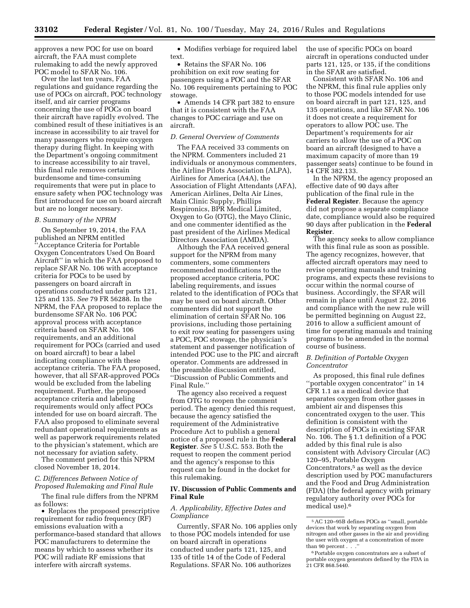approves a new POC for use on board aircraft, the FAA must complete rulemaking to add the newly approved POC model to SFAR No. 106.

Over the last ten years, FAA regulations and guidance regarding the use of POCs on aircraft, POC technology itself, and air carrier programs concerning the use of POCs on board their aircraft have rapidly evolved. The combined result of these initiatives is an increase in accessibility to air travel for many passengers who require oxygen therapy during flight. In keeping with the Department's ongoing commitment to increase accessibility to air travel, this final rule removes certain burdensome and time-consuming requirements that were put in place to ensure safety when POC technology was first introduced for use on board aircraft but are no longer necessary.

#### *B. Summary of the NPRM*

On September 19, 2014, the FAA published an NPRM entitled ''Acceptance Criteria for Portable Oxygen Concentrators Used On Board Aircraft'' in which the FAA proposed to replace SFAR No. 106 with acceptance criteria for POCs to be used by passengers on board aircraft in operations conducted under parts 121, 125 and 135. *See* 79 FR 56288. In the NPRM, the FAA proposed to replace the burdensome SFAR No. 106 POC approval process with acceptance criteria based on SFAR No. 106 requirements, and an additional requirement for POCs (carried and used on board aircraft) to bear a label indicating compliance with these acceptance criteria. The FAA proposed, however, that all SFAR-approved POCs would be excluded from the labeling requirement. Further, the proposed acceptance criteria and labeling requirements would only affect POCs intended for use on board aircraft. The FAA also proposed to eliminate several redundant operational requirements as well as paperwork requirements related to the physician's statement, which are not necessary for aviation safety.

The comment period for this NPRM closed November 18, 2014.

# *C. Differences Between Notice of Proposed Rulemaking and Final Rule*

The final rule differs from the NPRM as follows:

• Replaces the proposed prescriptive requirement for radio frequency (RF) emissions evaluation with a performance-based standard that allows POC manufacturers to determine the means by which to assess whether its POC will radiate RF emissions that interfere with aircraft systems.

• Modifies verbiage for required label text.

• Retains the SFAR No. 106 prohibition on exit row seating for passengers using a POC and the SFAR No. 106 requirements pertaining to POC stowage.

• Amends 14 CFR part 382 to ensure that it is consistent with the FAA changes to POC carriage and use on aircraft.

#### *D. General Overview of Comments*

The FAA received 33 comments on the NPRM. Commenters included 21 individuals or anonymous commenters, the Airline Pilots Association (ALPA), Airlines for America (A4A), the Association of Flight Attendants (AFA), American Airlines, Delta Air Lines, Main Clinic Supply, Phillips Respironics, BPR Medical Limited, Oxygen to Go (OTG), the Mayo Clinic, and one commenter identified as the past president of the Airlines Medical Directors Association (AMDA).

Although the FAA received general support for the NPRM from many commenters, some commenters recommended modifications to the proposed acceptance criteria, POC labeling requirements, and issues related to the identification of POCs that may be used on board aircraft. Other commenters did not support the elimination of certain SFAR No. 106 provisions, including those pertaining to exit row seating for passengers using a POC, POC stowage, the physician's statement and passenger notification of intended POC use to the PIC and aircraft operator. Comments are addressed in the preamble discussion entitled, ''Discussion of Public Comments and Final Rule.''

The agency also received a request from OTG to reopen the comment period. The agency denied this request, because the agency satisfied the requirement of the Administrative Procedure Act to publish a general notice of a proposed rule in the **Federal Register**. *See* 5 U.S.C. 553. Both the request to reopen the comment period and the agency's response to this request can be found in the docket for this rulemaking.

# **IV. Discussion of Public Comments and Final Rule**

#### *A. Applicability, Effective Dates and Compliance*

Currently, SFAR No. 106 applies only to those POC models intended for use on board aircraft in operations conducted under parts 121, 125, and 135 of title 14 of the Code of Federal Regulations. SFAR No. 106 authorizes

the use of specific POCs on board aircraft in operations conducted under parts 121, 125, or 135, if the conditions in the SFAR are satisfied.

Consistent with SFAR No. 106 and the NPRM, this final rule applies only to those POC models intended for use on board aircraft in part 121, 125, and 135 operations, and like SFAR No. 106 it does not create a requirement for operators to allow POC use. The Department's requirements for air carriers to allow the use of a POC on board an aircraft (designed to have a maximum capacity of more than 19 passenger seats) continue to be found in 14 CFR 382.133.

In the NPRM, the agency proposed an effective date of 90 days after publication of the final rule in the **Federal Register**. Because the agency did not propose a separate compliance date, compliance would also be required 90 days after publication in the **Federal Register**.

The agency seeks to allow compliance with this final rule as soon as possible. The agency recognizes, however, that affected aircraft operators may need to revise operating manuals and training programs, and expects these revisions to occur within the normal course of business. Accordingly, the SFAR will remain in place until August 22, 2016 and compliance with the new rule will be permitted beginning on August 22, 2016 to allow a sufficient amount of time for operating manuals and training programs to be amended in the normal course of business.

### *B. Definition of Portable Oxygen Concentrator*

As proposed, this final rule defines ''portable oxygen concentrator'' in 14 CFR 1.1 as a medical device that separates oxygen from other gasses in ambient air and dispenses this concentrated oxygen to the user. This definition is consistent with the description of POCs in existing SFAR No. 106. The § 1.1 definition of a POC added by this final rule is also consistent with Advisory Circular (AC) 120–95, Portable Oxygen Concentrators,<sup>5</sup> as well as the device description used by POC manufacturers and the Food and Drug Administration (FDA) (the federal agency with primary regulatory authority over POCs for medical use).6

<sup>5</sup>AC 120–95B defines POCs as ''small, portable devices that work by separating oxygen from nitrogen and other gasses in the air and providing the user with oxygen at a concentration of more than 90 percent . . .''

<sup>6</sup>Portable oxygen concentrators are a subset of portable oxygen generators defined by the FDA in 21 CFR 868.5440.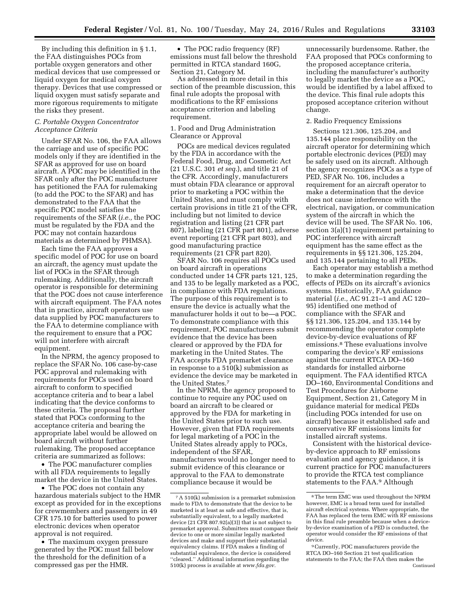By including this definition in § 1.1, the FAA distinguishes POCs from portable oxygen generators and other medical devices that use compressed or liquid oxygen for medical oxygen therapy. Devices that use compressed or liquid oxygen must satisfy separate and more rigorous requirements to mitigate the risks they present.

# *C. Portable Oxygen Concentrator Acceptance Criteria*

Under SFAR No. 106, the FAA allows the carriage and use of specific POC models only if they are identified in the SFAR as approved for use on board aircraft. A POC may be identified in the SFAR only after the POC manufacturer has petitioned the FAA for rulemaking (to add the POC to the SFAR) and has demonstrated to the FAA that the specific POC model satisfies the requirements of the SFAR (*i.e.,* the POC must be regulated by the FDA and the POC may not contain hazardous materials as determined by PHMSA).

Each time the FAA approves a specific model of POC for use on board an aircraft, the agency must update the list of POCs in the SFAR through rulemaking. Additionally, the aircraft operator is responsible for determining that the POC does not cause interference with aircraft equipment. The FAA notes that in practice, aircraft operators use data supplied by POC manufacturers to the FAA to determine compliance with the requirement to ensure that a POC will not interfere with aircraft equipment.

In the NPRM, the agency proposed to replace the SFAR No. 106 case-by-case POC approval and rulemaking with requirements for POCs used on board aircraft to conform to specified acceptance criteria and to bear a label indicating that the device conforms to these criteria. The proposal further stated that POCs conforming to the acceptance criteria and bearing the appropriate label would be allowed on board aircraft without further rulemaking. The proposed acceptance criteria are summarized as follows:

• The POC manufacturer complies with all FDA requirements to legally market the device in the United States.

• The POC does not contain any hazardous materials subject to the HMR except as provided for in the exceptions for crewmembers and passengers in 49 CFR 175.10 for batteries used to power electronic devices when operator approval is not required.

• The maximum oxygen pressure generated by the POC must fall below the threshold for the definition of a compressed gas per the HMR.

• The POC radio frequency (RF) emissions must fall below the threshold permitted in RTCA standard 160G, Section 21, Category M.

As addressed in more detail in this section of the preamble discussion, this final rule adopts the proposal with modifications to the RF emissions acceptance criterion and labeling requirement.

# 1. Food and Drug Administration Clearance or Approval

POCs are medical devices regulated by the FDA in accordance with the Federal Food, Drug, and Cosmetic Act (21 U.S.C. 301 *et seq.*), and title 21 of the CFR. Accordingly, manufacturers must obtain FDA clearance or approval prior to marketing a POC within the United States, and must comply with certain provisions in title 21 of the CFR, including but not limited to device registration and listing (21 CFR part 807), labeling (21 CFR part 801), adverse event reporting (21 CFR part 803), and good manufacturing practice requirements (21 CFR part 820).

SFAR No. 106 requires all POCs used on board aircraft in operations conducted under 14 CFR parts 121, 125, and 135 to be legally marketed as a POC, in compliance with FDA regulations. The purpose of this requirement is to ensure the device is actually what the manufacturer holds it out to be—a POC. To demonstrate compliance with this requirement, POC manufacturers submit evidence that the device has been cleared or approved by the FDA for marketing in the United States. The FAA accepts FDA premarket clearance in response to a 510(k) submission as evidence the device may be marketed in the United States.7

In the NPRM, the agency proposed to continue to require any POC used on board an aircraft to be cleared or approved by the FDA for marketing in the United States prior to such use. However, given that FDA requirements for legal marketing of a POC in the United States already apply to POCs, independent of the SFAR, manufacturers would no longer need to submit evidence of this clearance or approval to the FAA to demonstrate compliance because it would be

unnecessarily burdensome. Rather, the FAA proposed that POCs conforming to the proposed acceptance criteria, including the manufacturer's authority to legally market the device as a POC, would be identified by a label affixed to the device. This final rule adopts this proposed acceptance criterion without change.

#### 2. Radio Frequency Emissions

Sections 121.306, 125.204, and 135.144 place responsibility on the aircraft operator for determining which portable electronic devices (PED) may be safely used on its aircraft. Although the agency recognizes POCs as a type of PED, SFAR No. 106, includes a requirement for an aircraft operator to make a determination that the device does not cause interference with the electrical, navigation, or communication system of the aircraft in which the device will be used. The SFAR No. 106, section 3(a)(1) requirement pertaining to POC interference with aircraft equipment has the same effect as the requirements in §§ 121.306, 125.204, and 135.144 pertaining to all PEDs.

Each operator may establish a method to make a determination regarding the effects of PEDs on its aircraft's avionics systems. Historically, FAA guidance material (*i.e.,* AC 91.21–1 and AC 120– 95) identified one method of compliance with the SFAR and §§ 121.306, 125.204, and 135.144 by recommending the operator complete device-by-device evaluations of RF emissions.8 These evaluations involve comparing the device's RF emissions against the current RTCA DO–160 standards for installed airborne equipment. The FAA identified RTCA DO–160, Environmental Conditions and Test Procedures for Airborne Equipment, Section 21, Category M in guidance material for medical PEDs (including POCs intended for use on aircraft) because it established safe and conservative RF emissions limits for installed aircraft systems.

Consistent with the historical deviceby-device approach to RF emissions evaluation and agency guidance, it is current practice for POC manufacturers to provide the RTCA test compliance statements to the FAA.9 Although

<sup>7</sup>A 510(k) submission is a premarket submission made to FDA to demonstrate that the device to be marketed is at least as safe and effective, that is, substantially equivalent, to a legally marketed device (21 CFR 807.92(a)(3)) that is not subject to premarket approval. Submitters must compare their device to one or more similar legally marketed devices and make and support their substantial equivalency claims. If FDA makes a finding of substantial equivalence, the device is considered ''cleared.'' Additional information regarding the 510(k) process is available at *[www.fda.gov.](http://www.fda.gov)* 

<sup>8</sup>The term EMC was used throughout the NPRM however, EMC is a broad term used for installed aircraft electrical systems. Where appropriate, the FAA has replaced the term EMC with RF emissions in this final rule preamble because when a deviceby-device examination of a PED is conducted, the operator would consider the RF emissions of that device.

<sup>9</sup>Currently, POC manufacturers provide the RTCA DO–160 Section 21 test qualification statements to the FAA; the FAA then makes the Continued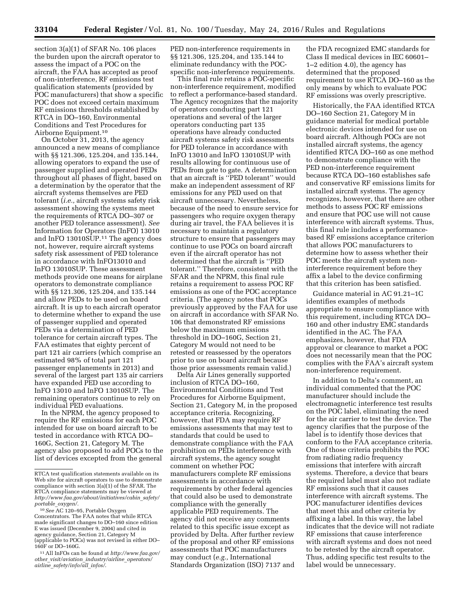section 3(a)(1) of SFAR No. 106 places the burden upon the aircraft operator to assess the impact of a POC on the aircraft, the FAA has accepted as proof of non-interference, RF emissions test qualification statements (provided by POC manufacturers) that show a specific POC does not exceed certain maximum RF emissions thresholds established by RTCA in DO–160, Environmental Conditions and Test Procedures for Airborne Equipment.10

On October 31, 2013, the agency announced a new means of compliance with §§ 121.306, 125.204, and 135.144, allowing operators to expand the use of passenger supplied and operated PEDs throughout all phases of flight, based on a determination by the operator that the aircraft systems themselves are PED tolerant (*i.e.,* aircraft systems safety risk assessment showing the systems meet the requirements of RTCA DO–307 or another PED tolerance assessment). *See*  Information for Operators (InFO) 13010 and InFO 13010SUP.11 The agency does not, however, require aircraft systems safety risk assessment of PED tolerance in accordance with InFO13010 and InFO 13010SUP. These assessment methods provide one means for airplane operators to demonstrate compliance with §§ 121.306, 125.204, and 135.144 and allow PEDs to be used on board aircraft. It is up to each aircraft operator to determine whether to expand the use of passenger supplied and operated PEDs via a determination of PED tolerance for certain aircraft types. The FAA estimates that eighty percent of part 121 air carriers (which comprise an estimated 98% of total part 121 passenger enplanements in 2013) and several of the largest part 135 air carriers have expanded PED use according to InFO 13010 and InFO 13010SUP. The remaining operators continue to rely on individual PED evaluations.

In the NPRM, the agency proposed to require the RF emissions for each POC intended for use on board aircraft to be tested in accordance with RTCA DO– 160G, Section 21, Category M. The agency also proposed to add POCs to the list of devices excepted from the general

PED non-interference requirements in §§ 121.306, 125.204, and 135.144 to eliminate redundancy with the POCspecific non-interference requirements.

This final rule retains a POC-specific non-interference requirement, modified to reflect a performance-based standard. The Agency recognizes that the majority of operators conducting part 121 operations and several of the larger operators conducting part 135 operations have already conducted aircraft systems safety risk assessments for PED tolerance in accordance with InFO 13010 and InFO 13010SUP with results allowing for continuous use of PEDs from gate to gate. A determination that an aircraft is ''PED tolerant'' would make an independent assessment of RF emissions for any PED used on that aircraft unnecessary. Nevertheless, because of the need to ensure service for passengers who require oxygen therapy during air travel, the FAA believes it is necessary to maintain a regulatory structure to ensure that passengers may continue to use POCs on board aircraft even if the aircraft operator has not determined that the aircraft is ''PED tolerant.'' Therefore, consistent with the SFAR and the NPRM, this final rule retains a requirement to assess POC RF emissions as one of the POC acceptance criteria. (The agency notes that POCs previously approved by the FAA for use on aircraft in accordance with SFAR No. 106 that demonstrated RF emissions below the maximum emissions threshold in DO–160G, Section 21, Category M would not need to be retested or reassessed by the operators prior to use on board aircraft because those prior assessments remain valid.)

Delta Air Lines generally supported inclusion of RTCA DO–160, Environmental Conditions and Test Procedures for Airborne Equipment, Section 21, Category M, in the proposed acceptance criteria. Recognizing, however, that FDA may require RF emissions assessments that may test to standards that could be used to demonstrate compliance with the FAA prohibition on PEDs interference with aircraft systems, the agency sought comment on whether POC manufacturers complete RF emissions assessments in accordance with requirements by other federal agencies that could also be used to demonstrate compliance with the generally applicable PED requirements. The agency did not receive any comments related to this specific issue except as provided by Delta. After further review of the proposal and other RF emissions assessments that POC manufacturers may conduct (*e.g.,* International Standards Organization (ISO) 7137 and

the FDA recognized EMC standards for Class II medical devices in IEC 60601– 1–2 edition 4.0), the agency has determined that the proposed requirement to use RTCA DO–160 as the only means by which to evaluate POC RF emissions was overly prescriptive.

Historically, the FAA identified RTCA DO–160 Section 21, Category M in guidance material for medical portable electronic devices intended for use on board aircraft. Although POCs are not installed aircraft systems, the agency identified RTCA DO–160 as one method to demonstrate compliance with the PED non-interference requirement because RTCA DO–160 establishes safe and conservative RF emissions limits for installed aircraft systems. The agency recognizes, however, that there are other methods to assess POC RF emissions and ensure that POC use will not cause interference with aircraft systems. Thus, this final rule includes a performancebased RF emissions acceptance criterion that allows POC manufacturers to determine how to assess whether their POC meets the aircraft system noninterference requirement before they affix a label to the device confirming that this criterion has been satisfied.

Guidance material in AC 91.21–1C identifies examples of methods appropriate to ensure compliance with this requirement, including RTCA DO– 160 and other industry EMC standards identified in the AC. The FAA emphasizes, however, that FDA approval or clearance to market a POC does not necessarily mean that the POC complies with the FAA's aircraft system non-interference requirement.

In addition to Delta's comment, an individual commented that the POC manufacturer should include the electromagnetic interference test results on the POC label, eliminating the need for the air carrier to test the device. The agency clarifies that the purpose of the label is to identify those devices that conform to the FAA acceptance criteria. One of those criteria prohibits the POC from radiating radio frequency emissions that interfere with aircraft systems. Therefore, a device that bears the required label must also not radiate RF emissions such that it causes interference with aircraft systems. The POC manufacturer identifies devices that meet this and other criteria by affixing a label. In this way, the label indicates that the device will not radiate RF emissions that cause interference with aircraft systems and does not need to be retested by the aircraft operator. Thus, adding specific test results to the label would be unnecessary.

RTCA test qualification statements available on its Web site for aircraft operators to use to demonstrate compliance with section 3(a)(1) of the SFAR. The RTCA compliance statements may be viewed at *[http://www.faa.gov/about/initiatives/cabin](http://www.faa.gov/about/initiatives/cabin_safety/portable_oxygen/)*\_*safety/ portable*\_*[oxygen/.](http://www.faa.gov/about/initiatives/cabin_safety/portable_oxygen/)* 

<sup>10</sup>*See* AC 120–95, Portable Oxygen Concentrators. The FAA notes that while RTCA made significant changes to DO–160 since edition E was issued (December 9, 2004) and cited in agency guidance, Section 21, Category M (applicable to POCs) was not revised in either DO– 160F or DO–160G.

<sup>11</sup>All InFOs can be found at *[http://www.faa.gov/](http://www.faa.gov/other_visit/aviation_industry/airline_operators/airline_safety/info/all_infos/) other*\_*visit/aviation*\_*[industry/airline](http://www.faa.gov/other_visit/aviation_industry/airline_operators/airline_safety/info/all_infos/)*\_*operators/ airline*\_*[safety/info/all](http://www.faa.gov/other_visit/aviation_industry/airline_operators/airline_safety/info/all_infos/)*\_*infos/*.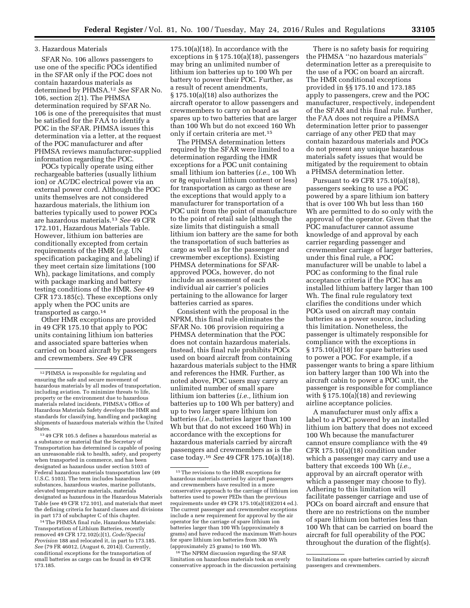#### 3. Hazardous Materials

SFAR No. 106 allows passengers to use one of the specific POCs identified in the SFAR only if the POC does not contain hazardous materials as determined by PHMSA.12 *See* SFAR No. 106, section 2(1). The PHMSA determination required by SFAR No. 106 is one of the prerequisites that must be satisfied for the FAA to identify a POC in the SFAR. PHMSA issues this determination via a letter, at the request of the POC manufacturer and after PHMSA reviews manufacturer-supplied information regarding the POC.

POCs typically operate using either rechargeable batteries (usually lithium ion) or AC/DC electrical power via an external power cord. Although the POC units themselves are not considered hazardous materials, the lithium ion batteries typically used to power POCs are hazardous materials.13 *See* 49 CFR 172.101, Hazardous Materials Table. However, lithium ion batteries are conditionally excepted from certain requirements of the HMR (*e.g.* UN specification packaging and labeling) if they meet certain size limitations (100 Wh), package limitations, and comply with package marking and battery testing conditions of the HMR. *See* 49 CFR 173.185(c). These exceptions only apply when the POC units are transported as cargo.14

Other HMR exceptions are provided in 49 CFR 175.10 that apply to POC units containing lithium ion batteries and associated spare batteries when carried on board aircraft by passengers and crewmembers. *See* 49 CFR

13 49 CFR 105.5 defines a hazardous material as a substance or material that the Secretary of Transportation has determined is capable of posing an unreasonable risk to health, safety, and property when transported in commerce, and has been designated as hazardous under section 5103 of Federal hazardous materials transportation law (49 U.S.C. 5103). The term includes hazardous substances, hazardous wastes, marine pollutants, elevated temperature materials, materials designated as hazardous in the Hazardous Materials Table (see 49 CFR 172.101), and materials that meet the defining criteria for hazard classes and divisions in part 173 of subchapter C of this chapter.

14The PHMSA final rule, Hazardous Materials: Transportation of Lithium Batteries, recently removed 49 CFR 172.102(c)(1), *Code/Special Provision* 188 and relocated it, in part to 173.185. *See* (79 FR 46012, (August 6, 2014)). Currently, conditional exceptions for the transportation of small batteries as cargo can be found in 49 CFR 173.185.

175.10(a)(18). In accordance with the exceptions in  $\S 175.10(a)(18)$ , passengers may bring an unlimited number of lithium ion batteries up to 100 Wh per battery to power their POC. Further, as a result of recent amendments, § 175.10(a)(18) also authorizes the aircraft operator to allow passengers and crewmembers to carry on board as spares up to two batteries that are larger than 100 Wh but do not exceed 160 Wh only if certain criteria are met.15

The PHMSA determination letters required by the SFAR were limited to a determination regarding the HMR exceptions for a POC unit containing small lithium ion batteries (*i.e.,* 100 Wh or 8g equivalent lithium content or less) for transportation as cargo as these are the exceptions that would apply to a manufacturer for transportation of a POC unit from the point of manufacture to the point of retail sale (although the size limits that distinguish a small lithium ion battery are the same for both the transportation of such batteries as cargo as well as for the passenger and crewmember exceptions). Existing PHMSA determinations for SFARapproved POCs, however, do not include an assessment of each individual air carrier's policies pertaining to the allowance for larger batteries carried as spares.

Consistent with the proposal in the NPRM, this final rule eliminates the SFAR No. 106 provision requiring a PHMSA determination that the POC does not contain hazardous materials. Instead, this final rule prohibits POCs used on board aircraft from containing hazardous materials subject to the HMR and references the HMR. Further, as noted above, POC users may carry an unlimited number of small spare lithium ion batteries (*i.e.,* lithium ion batteries up to 100 Wh per battery) and up to two larger spare lithium ion batteries (*i.e.,* batteries larger than 100 Wh but that do not exceed 160 Wh) in accordance with the exceptions for hazardous materials carried by aircraft passengers and crewmembers as is the case today.16 *See* 49 CFR 175.10(a)(18).

 $^{16}\mathrm{The}$  NPRM discussion regarding the SFAR limitation on hazardous materials took an overly conservative approach in the discussion pertaining

There is no safety basis for requiring the PHMSA ''no hazardous materials'' determination letter as a prerequisite to the use of a POC on board an aircraft. The HMR conditional exceptions provided in §§ 175.10 and 173.185 apply to passengers, crew and the POC manufacturer, respectively, independent of the SFAR and this final rule. Further, the FAA does not require a PHMSA determination letter prior to passenger carriage of any other PED that may contain hazardous materials and POCs do not present any unique hazardous materials safety issues that would be mitigated by the requirement to obtain a PHMSA determination letter.

Pursuant to 49 CFR 175.10(a)(18), passengers seeking to use a POC powered by a spare lithium ion battery that is over 100 Wh but less than 160 Wh are permitted to do so only with the approval of the operator. Given that the POC manufacturer cannot assume knowledge of and approval by each carrier regarding passenger and crewmember carriage of larger batteries, under this final rule, a POC manufacturer will be unable to label a POC as conforming to the final rule acceptance criteria if the POC has an installed lithium battery larger than 100 Wh. The final rule regulatory text clarifies the conditions under which POCs used on aircraft may contain batteries as a power source, including this limitation. Nonetheless, the passenger is ultimately responsible for compliance with the exceptions in § 175.10(a)(18) for spare batteries used to power a POC. For example, if a passenger wants to bring a spare lithium ion battery larger than 100 Wh into the aircraft cabin to power a POC unit, the passenger is responsible for compliance with § 175.10(a)(18) and reviewing airline acceptance policies.

A manufacturer must only affix a label to a POC powered by an installed lithium ion battery that does not exceed 100 Wh because the manufacturer cannot ensure compliance with the 49 CFR 175.10(a)(18) condition under which a passenger may carry and use a battery that exceeds 100 Wh (*i.e.,*  approval by an aircraft operator with which a passenger may choose to fly). Adhering to this limitation will facilitate passenger carriage and use of POCs on board aircraft and ensure that there are no restrictions on the number of spare lithium ion batteries less than 100 Wh that can be carried on board the aircraft for full operability of the POC throughout the duration of the flight(s).

<sup>12</sup>PHMSA is responsible for regulating and ensuring the safe and secure movement of hazardous materials by all modes of transportation, including aviation. To minimize threats to life, property or the environment due to hazardous materials related incidents, PHMSA's Office of Hazardous Materials Safety develops the HMR and standards for classifying, handling and packaging shipments of hazardous materials within the United States.

<sup>15</sup>The revisions to the HMR exceptions for hazardous materials carried by aircraft passengers and crewmembers have resulted in a more conservative approach to the carriage of lithium ion batteries used to power PEDs than the previous requirements under 49 CFR 175.10(a) $(18)(2014$  ed.). The current passenger and crewmember exceptions include a new requirement for approval by the air operator for the carriage of spare lithium ion batteries larger than 100 Wh (approximately 8 grams) and have reduced the maximum Watt-hours for spare lithium ion batteries from 300 Wh (approximately 25 grams) to 160 Wh.

to limitations on spare batteries carried by aircraft passengers and crewmembers.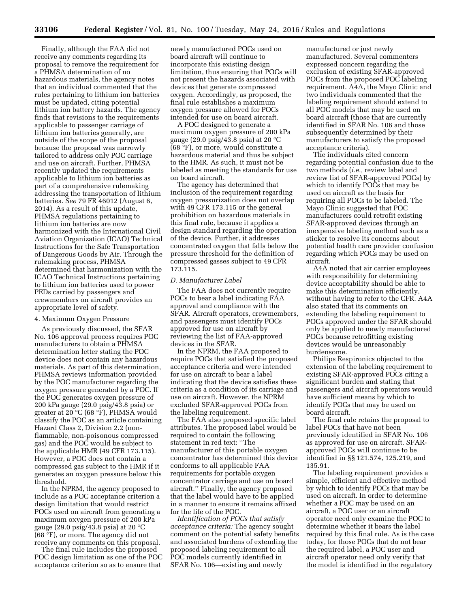Finally, although the FAA did not receive any comments regarding its proposal to remove the requirement for a PHMSA determination of no hazardous materials, the agency notes that an individual commented that the rules pertaining to lithium ion batteries must be updated, citing potential lithium ion battery hazards. The agency finds that revisions to the requirements applicable to passenger carriage of lithium ion batteries generally, are outside of the scope of the proposal because the proposal was narrowly tailored to address only POC carriage and use on aircraft. Further, PHMSA recently updated the requirements applicable to lithium ion batteries as part of a comprehensive rulemaking addressing the transportation of lithium batteries. *See* 79 FR 46012 (August 6, 2014). As a result of this update, PHMSA regulations pertaining to lithium ion batteries are now harmonized with the International Civil Aviation Organization (ICAO) Technical Instructions for the Safe Transportation of Dangerous Goods by Air. Through the rulemaking process, PHMSA determined that harmonization with the ICAO Technical Instructions pertaining to lithium ion batteries used to power PEDs carried by passengers and crewmembers on aircraft provides an appropriate level of safety.

#### 4. Maximum Oxygen Pressure

As previously discussed, the SFAR No. 106 approval process requires POC manufacturers to obtain a PHMSA determination letter stating the POC device does not contain any hazardous materials. As part of this determination, PHMSA reviews information provided by the POC manufacturer regarding the oxygen pressure generated by a POC. If the POC generates oxygen pressure of 200 kPa gauge (29.0 psig/43.8 psia) or greater at 20 °C (68 °F), PHMSA would classify the POC as an article containing Hazard Class 2, Division 2.2 (nonflammable, non-poisonous compressed gas) and the POC would be subject to the applicable HMR (49 CFR 173.115). However, a POC does not contain a compressed gas subject to the HMR if it generates an oxygen pressure below this threshold.

In the NPRM, the agency proposed to include as a POC acceptance criterion a design limitation that would restrict POCs used on aircraft from generating a maximum oxygen pressure of 200 kPa gauge (29.0 psig/43.8 psia) at 20 °C (68 °F), or more. The agency did not receive any comments on this proposal.

The final rule includes the proposed POC design limitation as one of the POC acceptance criterion so as to ensure that

newly manufactured POCs used on board aircraft will continue to incorporate this existing design limitation, thus ensuring that POCs will not present the hazards associated with devices that generate compressed oxygen. Accordingly, as proposed, the final rule establishes a maximum oxygen pressure allowed for POCs intended for use on board aircraft.

A POC designed to generate a maximum oxygen pressure of 200 kPa gauge (29.0 psig/43.8 psia) at 20  $^{\circ}$ C (68 °F), or more, would constitute a hazardous material and thus be subject to the HMR. As such, it must not be labeled as meeting the standards for use on board aircraft.

The agency has determined that inclusion of the requirement regarding oxygen pressurization does not overlap with 49 CFR 173.115 or the general prohibition on hazardous materials in this final rule, because it applies a design standard regarding the operation of the device. Further, it addresses concentrated oxygen that falls below the pressure threshold for the definition of compressed gasses subject to 49 CFR 173.115.

#### *D. Manufacturer Label*

The FAA does not currently require POCs to bear a label indicating FAA approval and compliance with the SFAR. Aircraft operators, crewmembers, and passengers must identify POCs approved for use on aircraft by reviewing the list of FAA-approved devices in the SFAR.

In the NPRM, the FAA proposed to require POCs that satisfied the proposed acceptance criteria and were intended for use on aircraft to bear a label indicating that the device satisfies these criteria as a condition of its carriage and use on aircraft. However, the NPRM excluded SFAR-approved POCs from the labeling requirement.

The FAA also proposed specific label attributes. The proposed label would be required to contain the following statement in red text: ''The manufacturer of this portable oxygen concentrator has determined this device conforms to all applicable FAA requirements for portable oxygen concentrator carriage and use on board aircraft.'' Finally, the agency proposed that the label would have to be applied in a manner to ensure it remains affixed for the life of the POC.

*Identification of POCs that satisfy acceptance criteria:* The agency sought comment on the potential safety benefits and associated burdens of extending the proposed labeling requirement to all POC models currently identified in SFAR No. 106—existing and newly

manufactured or just newly manufactured. Several commenters expressed concern regarding the exclusion of existing SFAR-approved POCs from the proposed POC labeling requirement. A4A, the Mayo Clinic and two individuals commented that the labeling requirement should extend to all POC models that may be used on board aircraft (those that are currently identified in SFAR No. 106 and those subsequently determined by their manufacturers to satisfy the proposed acceptance criteria).

The individuals cited concern regarding potential confusion due to the two methods (*i.e.,* review label and review list of SFAR-approved POCs) by which to identify POCs that may be used on aircraft as the basis for requiring all POCs to be labeled. The Mayo Clinic suggested that POC manufacturers could retrofit existing SFAR-approved devices through an inexpensive labeling method such as a sticker to resolve its concerns about potential health care provider confusion regarding which POCs may be used on aircraft.

A4A noted that air carrier employees with responsibility for determining device acceptability should be able to make this determination efficiently, without having to refer to the CFR. A4A also stated that its comments on extending the labeling requirement to POCs approved under the SFAR should only be applied to newly manufactured POCs because retrofitting existing devices would be unreasonably burdensome.

Philips Respironics objected to the extension of the labeling requirement to existing SFAR-approved POCs citing a significant burden and stating that passengers and aircraft operators would have sufficient means by which to identify POCs that may be used on board aircraft.

The final rule retains the proposal to label POCs that have not been previously identified in SFAR No. 106 as approved for use on aircraft. SFARapproved POCs will continue to be identified in §§ 121.574, 125.219, and 135.91.

The labeling requirement provides a simple, efficient and effective method by which to identify POCs that may be used on aircraft. In order to determine whether a POC may be used on an aircraft, a POC user or an aircraft operator need only examine the POC to determine whether it bears the label required by this final rule. As is the case today, for those POCs that do not bear the required label, a POC user and aircraft operator need only verify that the model is identified in the regulatory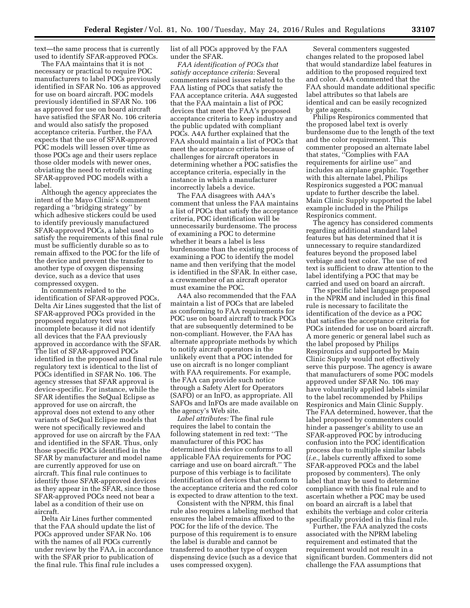text—the same process that is currently used to identify SFAR-approved POCs.

The FAA maintains that it is not necessary or practical to require POC manufacturers to label POCs previously identified in SFAR No. 106 as approved for use on board aircraft. POC models previously identified in SFAR No. 106 as approved for use on board aircraft have satisfied the SFAR No. 106 criteria and would also satisfy the proposed acceptance criteria. Further, the FAA expects that the use of SFAR-approved POC models will lessen over time as those POCs age and their users replace those older models with newer ones, obviating the need to retrofit existing SFAR-approved POC models with a label.

Although the agency appreciates the intent of the Mayo Clinic's comment regarding a ''bridging strategy'' by which adhesive stickers could be used to identify previously manufactured SFAR-approved POCs, a label used to satisfy the requirements of this final rule must be sufficiently durable so as to remain affixed to the POC for the life of the device and prevent the transfer to another type of oxygen dispensing device, such as a device that uses compressed oxygen.

In comments related to the identification of SFAR-approved POCs, Delta Air Lines suggested that the list of SFAR-approved POCs provided in the proposed regulatory text was incomplete because it did not identify all devices that the FAA previously approved in accordance with the SFAR. The list of SFAR-approved POCs identified in the proposed and final rule regulatory text is identical to the list of POCs identified in SFAR No. 106. The agency stresses that SFAR approval is device-specific. For instance, while the SFAR identifies the SeQual Eclipse as approved for use on aircraft, the approval does not extend to any other variants of SeQual Eclipse models that were not specifically reviewed and approved for use on aircraft by the FAA and identified in the SFAR. Thus, only those specific POCs identified in the SFAR by manufacturer and model name are currently approved for use on aircraft. This final rule continues to identify those SFAR-approved devices as they appear in the SFAR, since those SFAR-approved POCs need not bear a label as a condition of their use on aircraft.

Delta Air Lines further commented that the FAA should update the list of POCs approved under SFAR No. 106 with the names of all POCs currently under review by the FAA, in accordance with the SFAR prior to publication of the final rule. This final rule includes a

list of all POCs approved by the FAA under the SFAR.

*FAA identification of POCs that satisfy acceptance criteria:* Several commenters raised issues related to the FAA listing of POCs that satisfy the FAA acceptance criteria. A4A suggested that the FAA maintain a list of POC devices that meet the FAA's proposed acceptance criteria to keep industry and the public updated with compliant POCs. A4A further explained that the FAA should maintain a list of POCs that meet the acceptance criteria because of challenges for aircraft operators in determining whether a POC satisfies the acceptance criteria, especially in the instance in which a manufacturer incorrectly labels a device.

The FAA disagrees with A4A's comment that unless the FAA maintains a list of POCs that satisfy the acceptance criteria, POC identification will be unnecessarily burdensome. The process of examining a POC to determine whether it bears a label is less burdensome than the existing process of examining a POC to identify the model name and then verifying that the model is identified in the SFAR. In either case, a crewmember of an aircraft operator must examine the POC.

A4A also recommended that the FAA maintain a list of POCs that are labeled as conforming to FAA requirements for POC use on board aircraft to track POCs that are subsequently determined to be non-compliant. However, the FAA has alternate appropriate methods by which to notify aircraft operators in the unlikely event that a POC intended for use on aircraft is no longer compliant with FAA requirements. For example, the FAA can provide such notice through a Safety Alert for Operators (SAFO) or an InFO, as appropriate. All SAFOs and InFOs are made available on the agency's Web site.

*Label attributes:* The final rule requires the label to contain the following statement in red text: ''The manufacturer of this POC has determined this device conforms to all applicable FAA requirements for POC carriage and use on board aircraft.'' The purpose of this verbiage is to facilitate identification of devices that conform to the acceptance criteria and the red color is expected to draw attention to the text.

Consistent with the NPRM, this final rule also requires a labeling method that ensures the label remains affixed to the POC for the life of the device. The purpose of this requirement is to ensure the label is durable and cannot be transferred to another type of oxygen dispensing device (such as a device that uses compressed oxygen).

Several commenters suggested changes related to the proposed label that would standardize label features in addition to the proposed required text and color. A4A commented that the FAA should mandate additional specific label attributes so that labels are identical and can be easily recognized by gate agents.

Philips Respironics commented that the proposed label text is overly burdensome due to the length of the text and the color requirement. This commenter proposed an alternate label that states, ''Complies with FAA requirements for airline use'' and includes an airplane graphic. Together with this alternate label, Philips Respironics suggested a POC manual update to further describe the label. Main Clinic Supply supported the label example included in the Philips Respironics comment.

The agency has considered comments regarding additional standard label features but has determined that it is unnecessary to require standardized features beyond the proposed label verbiage and text color. The use of red text is sufficient to draw attention to the label identifying a POC that may be carried and used on board an aircraft.

The specific label language proposed in the NPRM and included in this final rule is necessary to facilitate the identification of the device as a POC that satisfies the acceptance criteria for POCs intended for use on board aircraft. A more generic or general label such as the label proposed by Philips Respironics and supported by Main Clinic Supply would not effectively serve this purpose. The agency is aware that manufacturers of some POC models approved under SFAR No. 106 may have voluntarily applied labels similar to the label recommended by Philips Respironics and Main Clinic Supply. The FAA determined, however, that the label proposed by commenters could hinder a passenger's ability to use an SFAR-approved POC by introducing confusion into the POC identification process due to multiple similar labels (*i.e.,* labels currently affixed to some SFAR-approved POCs and the label proposed by commenters). The only label that may be used to determine compliance with this final rule and to ascertain whether a POC may be used on board an aircraft is a label that exhibits the verbiage and color criteria specifically provided in this final rule.

Further, the FAA analyzed the costs associated with the NPRM labeling requirement and estimated that the requirement would not result in a significant burden. Commenters did not challenge the FAA assumptions that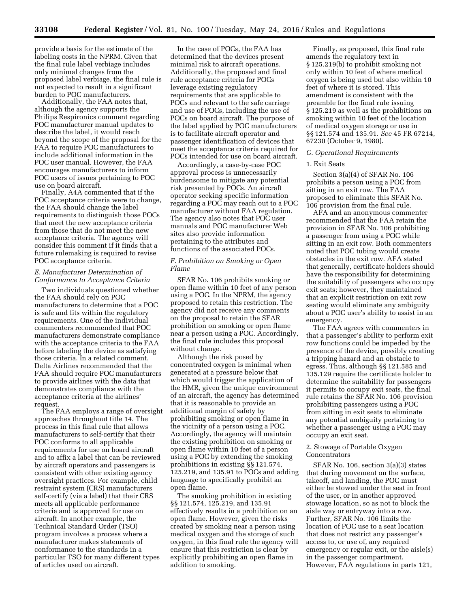provide a basis for the estimate of the labeling costs in the NPRM. Given that the final rule label verbiage includes only minimal changes from the proposed label verbiage, the final rule is not expected to result in a significant burden to POC manufacturers.

Additionally, the FAA notes that, although the agency supports the Philips Respironics comment regarding POC manufacturer manual updates to describe the label, it would reach beyond the scope of the proposal for the FAA to require POC manufacturers to include additional information in the POC user manual. However, the FAA encourages manufacturers to inform POC users of issues pertaining to POC use on board aircraft.

Finally, A4A commented that if the POC acceptance criteria were to change, the FAA should change the label requirements to distinguish those POCs that meet the new acceptance criteria from those that do not meet the new acceptance criteria. The agency will consider this comment if it finds that a future rulemaking is required to revise POC acceptance criteria.

#### *E. Manufacturer Determination of Conformance to Acceptance Criteria*

Two individuals questioned whether the FAA should rely on POC manufacturers to determine that a POC is safe and fits within the regulatory requirements. One of the individual commenters recommended that POC manufacturers demonstrate compliance with the acceptance criteria to the FAA before labeling the device as satisfying those criteria. In a related comment, Delta Airlines recommended that the FAA should require POC manufacturers to provide airlines with the data that demonstrates compliance with the acceptance criteria at the airlines' request.

The FAA employs a range of oversight approaches throughout title 14. The process in this final rule that allows manufacturers to self-certify that their POC conforms to all applicable requirements for use on board aircraft and to affix a label that can be reviewed by aircraft operators and passengers is consistent with other existing agency oversight practices. For example, child restraint system (CRS) manufacturers self-certify (via a label) that their CRS meets all applicable performance criteria and is approved for use on aircraft. In another example, the Technical Standard Order (TSO) program involves a process where a manufacturer makes statements of conformance to the standards in a particular TSO for many different types of articles used on aircraft.

In the case of POCs, the FAA has determined that the devices present minimal risk to aircraft operations. Additionally, the proposed and final rule acceptance criteria for POCs leverage existing regulatory requirements that are applicable to POCs and relevant to the safe carriage and use of POCs, including the use of POCs on board aircraft. The purpose of the label applied by POC manufacturers is to facilitate aircraft operator and passenger identification of devices that meet the acceptance criteria required for POCs intended for use on board aircraft.

Accordingly, a case-by-case POC approval process is unnecessarily burdensome to mitigate any potential risk presented by POCs. An aircraft operator seeking specific information regarding a POC may reach out to a POC manufacturer without FAA regulation. The agency also notes that POC user manuals and POC manufacturer Web sites also provide information pertaining to the attributes and functions of the associated POCs.

#### *F. Prohibition on Smoking or Open Flame*

SFAR No. 106 prohibits smoking or open flame within 10 feet of any person using a POC. In the NPRM, the agency proposed to retain this restriction. The agency did not receive any comments on the proposal to retain the SFAR prohibition on smoking or open flame near a person using a POC. Accordingly, the final rule includes this proposal without change.

Although the risk posed by concentrated oxygen is minimal when generated at a pressure below that which would trigger the application of the HMR, given the unique environment of an aircraft, the agency has determined that it is reasonable to provide an additional margin of safety by prohibiting smoking or open flame in the vicinity of a person using a POC. Accordingly, the agency will maintain the existing prohibition on smoking or open flame within 10 feet of a person using a POC by extending the smoking prohibitions in existing §§ 121.574, 125.219, and 135.91 to POCs and adding language to specifically prohibit an open flame.

The smoking prohibition in existing §§ 121.574, 125.219, and 135.91 effectively results in a prohibition on an open flame. However, given the risks created by smoking near a person using medical oxygen and the storage of such oxygen, in this final rule the agency will ensure that this restriction is clear by explicitly prohibiting an open flame in addition to smoking.

Finally, as proposed, this final rule amends the regulatory text in § 125.219(b) to prohibit smoking not only within 10 feet of where medical oxygen is being used but also within 10 feet of where it is stored. This amendment is consistent with the preamble for the final rule issuing § 125.219 as well as the prohibitions on smoking within 10 feet of the location of medical oxygen storage or use in §§ 121.574 and 135.91. *See* 45 FR 67214, 67230 (October 9, 1980).

# *G. Operational Requirements*

#### 1. Exit Seats

Section 3(a)(4) of SFAR No. 106 prohibits a person using a POC from sitting in an exit row. The FAA proposed to eliminate this SFAR No. 106 provision from the final rule.

AFA and an anonymous commenter recommended that the FAA retain the provision in SFAR No. 106 prohibiting a passenger from using a POC while sitting in an exit row. Both commenters noted that POC tubing would create obstacles in the exit row. AFA stated that generally, certificate holders should have the responsibility for determining the suitability of passengers who occupy exit seats; however, they maintained that an explicit restriction on exit row seating would eliminate any ambiguity about a POC user's ability to assist in an emergency.

The FAA agrees with commenters in that a passenger's ability to perform exit row functions could be impeded by the presence of the device, possibly creating a tripping hazard and an obstacle to egress. Thus, although §§ 121.585 and 135.129 require the certificate holder to determine the suitability for passengers it permits to occupy exit seats, the final rule retains the SFAR No. 106 provision prohibiting passengers using a POC from sitting in exit seats to eliminate any potential ambiguity pertaining to whether a passenger using a POC may occupy an exit seat.

#### 2. Stowage of Portable Oxygen Concentrators

SFAR No. 106, section 3(a)(3) states that during movement on the surface, takeoff, and landing, the POC must either be stowed under the seat in front of the user, or in another approved stowage location, so as not to block the aisle way or entryway into a row. Further, SFAR No. 106 limits the location of POC use to a seat location that does not restrict any passenger's access to, or use of, any required emergency or regular exit, or the aisle(s) in the passenger compartment. However, FAA regulations in parts 121,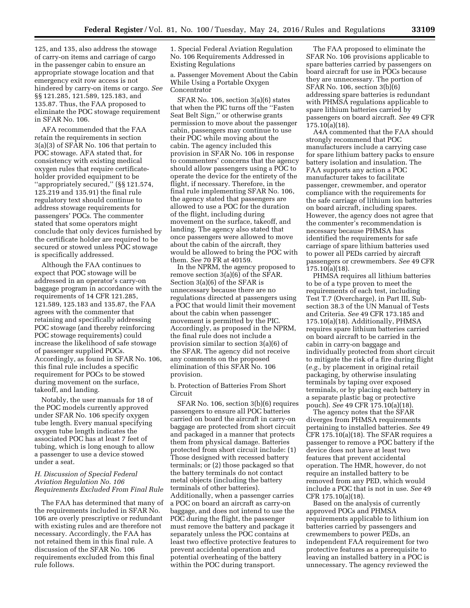125, and 135, also address the stowage of carry-on items and carriage of cargo in the passenger cabin to ensure an appropriate stowage location and that emergency exit row access is not hindered by carry-on items or cargo. *See*  §§ 121.285, 121.589, 125.183, and 135.87. Thus, the FAA proposed to eliminate the POC stowage requirement in SFAR No. 106.

AFA recommended that the FAA retain the requirements in section 3(a)(3) of SFAR No. 106 that pertain to POC stowage. AFA stated that, for consistency with existing medical oxygen rules that require certificateholder provided equipment to be ''appropriately secured,'' (§§ 121.574, 125.219 and 135.91) the final rule regulatory text should continue to address stowage requirements for passengers' POCs. The commenter stated that some operators might conclude that only devices furnished by the certificate holder are required to be secured or stowed unless POC stowage is specifically addressed.

Although the FAA continues to expect that POC stowage will be addressed in an operator's carry-on baggage program in accordance with the requirements of 14 CFR 121.285, 121.589, 125.183 and 135.87, the FAA agrees with the commenter that retaining and specifically addressing POC stowage (and thereby reinforcing POC stowage requirements) could increase the likelihood of safe stowage of passenger supplied POCs. Accordingly, as found in SFAR No. 106, this final rule includes a specific requirement for POCs to be stowed during movement on the surface, takeoff, and landing.

Notably, the user manuals for 18 of the POC models currently approved under SFAR No. 106 specify oxygen tube length. Every manual specifying oxygen tube length indicates the associated POC has at least 7 feet of tubing, which is long enough to allow a passenger to use a device stowed under a seat.

# *H. Discussion of Special Federal Aviation Regulation No. 106 Requirements Excluded From Final Rule*

The FAA has determined that many of the requirements included in SFAR No. 106 are overly prescriptive or redundant with existing rules and are therefore not necessary. Accordingly, the FAA has not retained them in this final rule. A discussion of the SFAR No. 106 requirements excluded from this final rule follows.

1. Special Federal Aviation Regulation No. 106 Requirements Addressed in Existing Regulations

a. Passenger Movement About the Cabin While Using a Portable Oxygen Concentrator

SFAR No. 106, section 3(a)(6) states that when the PIC turns off the ''Fasten Seat Belt Sign,'' or otherwise grants permission to move about the passenger cabin, passengers may continue to use their POC while moving about the cabin. The agency included this provision in SFAR No. 106 in response to commenters' concerns that the agency should allow passengers using a POC to operate the device for the entirety of the flight, if necessary. Therefore, in the final rule implementing SFAR No. 106, the agency stated that passengers are allowed to use a POC for the duration of the flight, including during movement on the surface, takeoff, and landing. The agency also stated that once passengers were allowed to move about the cabin of the aircraft, they would be allowed to bring the POC with them. *See* 70 FR at 40159.

In the NPRM, the agency proposed to remove section 3(a)(6) of the SFAR. Section 3(a)(6) of the SFAR is unnecessary because there are no regulations directed at passengers using a POC that would limit their movement about the cabin when passenger movement is permitted by the PIC. Accordingly, as proposed in the NPRM, the final rule does not include a provision similar to section 3(a)(6) of the SFAR. The agency did not receive any comments on the proposed elimination of this SFAR No. 106 provision.

b. Protection of Batteries From Short Circuit

SFAR No. 106, section 3(b)(6) requires passengers to ensure all POC batteries carried on board the aircraft in carry-on baggage are protected from short circuit and packaged in a manner that protects them from physical damage. Batteries protected from short circuit include: (1) Those designed with recessed battery terminals; or (2) those packaged so that the battery terminals do not contact metal objects (including the battery terminals of other batteries). Additionally, when a passenger carries a POC on board an aircraft as carry-on baggage, and does not intend to use the POC during the flight, the passenger must remove the battery and package it separately unless the POC contains at least two effective protective features to prevent accidental operation and potential overheating of the battery within the POC during transport.

The FAA proposed to eliminate the SFAR No. 106 provisions applicable to spare batteries carried by passengers on board aircraft for use in POCs because they are unnecessary. The portion of SFAR No. 106, section 3(b)(6) addressing spare batteries is redundant with PHMSA regulations applicable to spare lithium batteries carried by passengers on board aircraft. *See* 49 CFR 175.10(a)(18).

A4A commented that the FAA should strongly recommend that POC manufacturers include a carrying case for spare lithium battery packs to ensure battery isolation and insulation. The FAA supports any action a POC manufacturer takes to facilitate passenger, crewmember, and operator compliance with the requirements for the safe carriage of lithium ion batteries on board aircraft, including spares. However, the agency does not agree that the commenter's recommendation is necessary because PHMSA has identified the requirements for safe carriage of spare lithium batteries used to power all PEDs carried by aircraft passengers or crewmembers. *See* 49 CFR 175.10(a)(18).

PHMSA requires all lithium batteries to be of a type proven to meet the requirements of each test, including Test T.7 (Overcharge), in Part III, Subsection 38.3 of the UN Manual of Tests and Criteria. *See* 49 CFR 173.185 and 175.10(a)(18). Additionally, PHMSA requires spare lithium batteries carried on board aircraft to be carried in the cabin in carry-on baggage and individually protected from short circuit to mitigate the risk of a fire during flight (*e.g.,* by placement in original retail packaging, by otherwise insulating terminals by taping over exposed terminals, or by placing each battery in a separate plastic bag or protective pouch). *See* 49 CFR 175.10(a)(18).

The agency notes that the SFAR diverges from PHMSA requirements pertaining to installed batteries. *See* 49 CFR 175.10(a)(18). The SFAR requires a passenger to remove a POC battery if the device does not have at least two features that prevent accidental operation. The HMR, however, do not require an installed battery to be removed from any PED, which would include a POC that is not in use. *See* 49 CFR 175.10(a)(18).

Based on the analysis of currently approved POCs and PHMSA requirements applicable to lithium ion batteries carried by passengers and crewmembers to power PEDs, an independent FAA requirement for two protective features as a prerequisite to leaving an installed battery in a POC is unnecessary. The agency reviewed the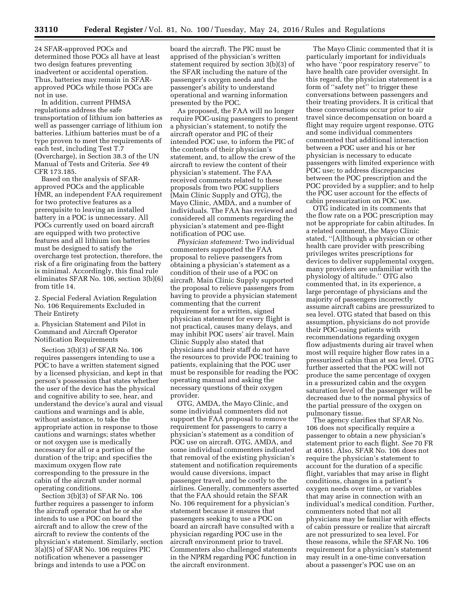24 SFAR-approved POCs and determined those POCs all have at least two design features preventing inadvertent or accidental operation. Thus, batteries may remain in SFARapproved POCs while those POCs are not in use.

In addition, current PHMSA regulations address the safe transportation of lithium ion batteries as well as passenger carriage of lithium ion batteries. Lithium batteries must be of a type proven to meet the requirements of each test, including Test T.7 (Overcharge), in Section 38.3 of the UN Manual of Tests and Criteria. *See* 49 CFR 173.185.

Based on the analysis of SFARapproved POCs and the applicable HMR, an independent FAA requirement for two protective features as a prerequisite to leaving an installed battery in a POC is unnecessary. All POCs currently used on board aircraft are equipped with two protective features and all lithium ion batteries must be designed to satisfy the overcharge test protection, therefore, the risk of a fire originating from the battery is minimal. Accordingly, this final rule eliminates SFAR No. 106, section 3(b)(6) from title 14.

2. Special Federal Aviation Regulation No. 106 Requirements Excluded in Their Entirety

a. Physician Statement and Pilot in Command and Aircraft Operator Notification Requirements

Section 3(b)(3) of SFAR No. 106 requires passengers intending to use a POC to have a written statement signed by a licensed physician, and kept in that person's possession that states whether the user of the device has the physical and cognitive ability to see, hear, and understand the device's aural and visual cautions and warnings and is able, without assistance, to take the appropriate action in response to those cautions and warnings; states whether or not oxygen use is medically necessary for all or a portion of the duration of the trip; and specifies the maximum oxygen flow rate corresponding to the pressure in the cabin of the aircraft under normal operating conditions.

Section 3(b)(3) of SFAR No. 106 further requires a passenger to inform the aircraft operator that he or she intends to use a POC on board the aircraft and to allow the crew of the aircraft to review the contents of the physician's statement. Similarly, section 3(a)(5) of SFAR No. 106 requires PIC notification whenever a passenger brings and intends to use a POC on

board the aircraft. The PIC must be apprised of the physician's written statement required by section 3(b)(3) of the SFAR including the nature of the passenger's oxygen needs and the passenger's ability to understand operational and warning information presented by the POC.

As proposed, the FAA will no longer require POC-using passengers to present a physician's statement, to notify the aircraft operator and PIC of their intended POC use, to inform the PIC of the contents of their physician's statement, and, to allow the crew of the aircraft to review the content of their physician's statement. The FAA received comments related to these proposals from two POC suppliers (Main Clinic Supply and OTG), the Mayo Clinic, AMDA, and a number of individuals. The FAA has reviewed and considered all comments regarding the physician's statement and pre-flight notification of POC use.

*Physician statement:* Two individual commenters supported the FAA proposal to relieve passengers from obtaining a physician's statement as a condition of their use of a POC on aircraft. Main Clinic Supply supported the proposal to relieve passengers from having to provide a physician statement commenting that the current requirement for a written, signed physician statement for every flight is not practical, causes many delays, and may inhibit POC users' air travel. Main Clinic Supply also stated that physicians and their staff do not have the resources to provide POC training to patients, explaining that the POC user must be responsible for reading the POC operating manual and asking the necessary questions of their oxygen provider.

OTG, AMDA, the Mayo Clinic, and some individual commenters did not support the FAA proposal to remove the requirement for passengers to carry a physician's statement as a condition of POC use on aircraft. OTG, AMDA, and some individual commenters indicated that removal of the existing physician's statement and notification requirements would cause diversions, impact passenger travel, and be costly to the airlines. Generally, commenters asserted that the FAA should retain the SFAR No. 106 requirement for a physician's statement because it ensures that passengers seeking to use a POC on board an aircraft have consulted with a physician regarding POC use in the aircraft environment prior to travel. Commenters also challenged statements in the NPRM regarding POC function in the aircraft environment.

The Mayo Clinic commented that it is particularly important for individuals who have ''poor respiratory reserve'' to have health care provider oversight. In this regard, the physician statement is a form of ''safety net'' to trigger these conversations between passengers and their treating providers. It is critical that these conversations occur prior to air travel since decompensation on board a flight may require urgent response. OTG and some individual commenters commented that additional interaction between a POC user and his or her physician is necessary to educate passengers with limited experience with POC use; to address discrepancies between the POC prescription and the POC provided by a supplier; and to help the POC user account for the effects of cabin pressurization on POC use.

OTG indicated in its comments that the flow rate on a POC prescription may not be appropriate for cabin altitudes. In a related comment, the Mayo Clinic stated, ''[A]lthough a physician or other health care provider with prescribing privileges writes prescriptions for devices to deliver supplemental oxygen, many providers are unfamiliar with the physiology of altitude.'' OTG also commented that, in its experience, a large percentage of physicians and the majority of passengers incorrectly assume aircraft cabins are pressurized to sea level. OTG stated that based on this assumption, physicians do not provide their POC-using patients with recommendations regarding oxygen flow adjustments during air travel when most will require higher flow rates in a pressurized cabin than at sea level. OTG further asserted that the POC will not produce the same percentage of oxygen in a pressurized cabin and the oxygen saturation level of the passenger will be decreased due to the normal physics of the partial pressure of the oxygen on pulmonary tissue.

The agency clarifies that SFAR No. 106 does not specifically require a passenger to obtain a new physician's statement prior to each flight. *See* 70 FR at 40161. Also, SFAR No. 106 does not require the physician's statement to account for the duration of a specific flight, variables that may arise in flight conditions, changes in a patient's oxygen needs over time, or variables that may arise in connection with an individual's medical condition. Further, commenters noted that not all physicians may be familiar with effects of cabin pressure or realize that aircraft are not pressurized to sea level. For these reasons, while the SFAR No. 106 requirement for a physician's statement may result in a one-time conversation about a passenger's POC use on an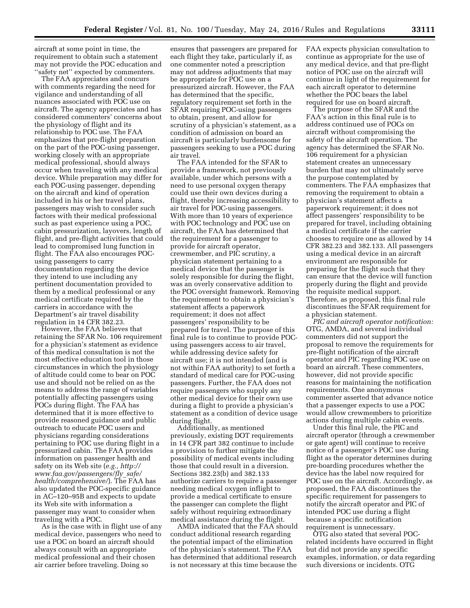aircraft at some point in time, the requirement to obtain such a statement may not provide the POC education and ''safety net'' expected by commenters.

The FAA appreciates and concurs with comments regarding the need for vigilance and understanding of all nuances associated with POC use on aircraft. The agency appreciates and has considered commenters' concerns about the physiology of flight and its relationship to POC use. The FAA emphasizes that pre-flight preparation on the part of the POC-using passenger, working closely with an appropriate medical professional, should always occur when traveling with any medical device. While preparation may differ for each POC-using passenger, depending on the aircraft and kind of operation included in his or her travel plans, passengers may wish to consider such factors with their medical professional such as past experience using a POC, cabin pressurization, layovers, length of flight, and pre-flight activities that could lead to compromised lung function in flight. The FAA also encourages POCusing passengers to carry documentation regarding the device they intend to use including any pertinent documentation provided to them by a medical professional or any medical certificate required by the carriers in accordance with the Department's air travel disability regulation in 14 CFR 382.23.

However, the FAA believes that retaining the SFAR No. 106 requirement for a physician's statement as evidence of this medical consultation is not the most effective education tool in those circumstances in which the physiology of altitude could come to bear on POC use and should not be relied on as the means to address the range of variables potentially affecting passengers using POCs during flight. The FAA has determined that it is more effective to provide reasoned guidance and public outreach to educate POC users and physicians regarding considerations pertaining to POC use during flight in a pressurized cabin. The FAA provides information on passenger health and safety on its Web site (*e.g., [http://](http://www.faa.gov/passengers/fly_safe/health/comprehensive/) [www.faa.gov/passengers/fly](http://www.faa.gov/passengers/fly_safe/health/comprehensive/)*\_*safe/ [health/comprehensive/](http://www.faa.gov/passengers/fly_safe/health/comprehensive/)*). The FAA has also updated the POC-specific guidance in AC–120–95B and expects to update its Web site with information a passenger may want to consider when traveling with a POC.

As is the case with in flight use of any medical device, passengers who need to use a POC on board an aircraft should always consult with an appropriate medical professional and their chosen air carrier before traveling. Doing so

ensures that passengers are prepared for each flight they take, particularly if, as one commenter noted a prescription may not address adjustments that may be appropriate for POC use on a pressurized aircraft. However, the FAA has determined that the specific, regulatory requirement set forth in the SFAR requiring POC-using passengers to obtain, present, and allow for scrutiny of a physician's statement, as a condition of admission on board an aircraft is particularly burdensome for passengers seeking to use a POC during air travel.

The FAA intended for the SFAR to provide a framework, not previously available, under which persons with a need to use personal oxygen therapy could use their own devices during a flight, thereby increasing accessibility to air travel for POC-using passengers. With more than 10 years of experience with POC technology and POC use on aircraft, the FAA has determined that the requirement for a passenger to provide for aircraft operator, crewmember, and PIC scrutiny, a physician statement pertaining to a medical device that the passenger is solely responsible for during the flight, was an overly conservative addition to the POC oversight framework. Removing the requirement to obtain a physician's statement affects a paperwork requirement; it does not affect passengers' responsibility to be prepared for travel. The purpose of this final rule is to continue to provide POCusing passengers access to air travel, while addressing device safety for aircraft use; it is not intended (and is not within FAA authority) to set forth a standard of medical care for POC-using passengers. Further, the FAA does not require passengers who supply any other medical device for their own use during a flight to provide a physician's statement as a condition of device usage during flight.

Additionally, as mentioned previously, existing DOT requirements in 14 CFR part 382 continue to include a provision to further mitigate the possibility of medical events including those that could result in a diversion. Sections 382.23(b) and 382.133 authorize carriers to require a passenger needing medical oxygen inflight to provide a medical certificate to ensure the passenger can complete the flight safely without requiring extraordinary medical assistance during the flight.

AMDA indicated that the FAA should conduct additional research regarding the potential impact of the elimination of the physician's statement. The FAA has determined that additional research is not necessary at this time because the

FAA expects physician consultation to continue as appropriate for the use of any medical device, and that pre-flight notice of POC use on the aircraft will continue in light of the requirement for each aircraft operator to determine whether the POC bears the label required for use on board aircraft.

The purpose of the SFAR and the FAA's action in this final rule is to address continued use of POCs on aircraft without compromising the safety of the aircraft operation. The agency has determined the SFAR No. 106 requirement for a physician statement creates an unnecessary burden that may not ultimately serve the purpose contemplated by commenters. The FAA emphasizes that removing the requirement to obtain a physician's statement affects a paperwork requirement; it does not affect passengers' responsibility to be prepared for travel, including obtaining a medical certificate if the carrier chooses to require one as allowed by 14 CFR 382.23 and 382.133. All passengers using a medical device in an aircraft environment are responsible for preparing for the flight such that they can ensure that the device will function properly during the flight and provide the requisite medical support. Therefore, as proposed, this final rule discontinues the SFAR requirement for a physician statement.

*PIC and aircraft operator notification:*  OTG, AMDA, and several individual commenters did not support the proposal to remove the requirements for pre-flight notification of the aircraft operator and PIC regarding POC use on board an aircraft. These commenters, however, did not provide specific reasons for maintaining the notification requirements. One anonymous commenter asserted that advance notice that a passenger expects to use a POC would allow crewmembers to prioritize actions during multiple cabin events.

Under this final rule, the PIC and aircraft operator (through a crewmember or gate agent) will continue to receive notice of a passenger's POC use during flight as the operator determines during pre-boarding procedures whether the device has the label now required for POC use on the aircraft. Accordingly, as proposed, the FAA discontinues the specific requirement for passengers to notify the aircraft operator and PIC of intended POC use during a flight because a specific notification requirement is unnecessary.

OTG also stated that several POCrelated incidents have occurred in flight but did not provide any specific examples, information, or data regarding such diversions or incidents. OTG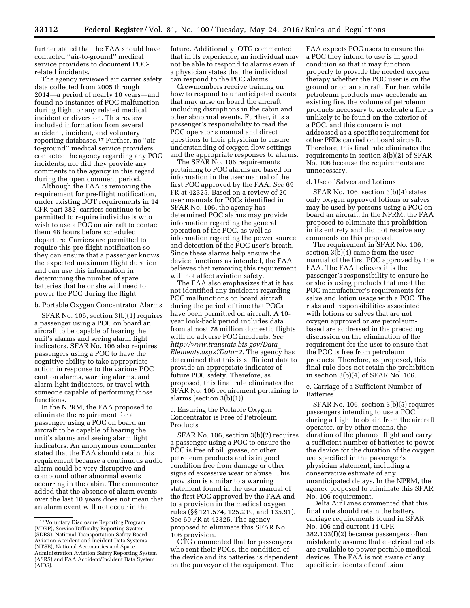further stated that the FAA should have contacted ''air-to-ground'' medical service providers to document POCrelated incidents.

The agency reviewed air carrier safety data collected from 2005 through 2014—a period of nearly 10 years—and found no instances of POC malfunction during flight or any related medical incident or diversion. This review included information from several accident, incident, and voluntary reporting databases.17 Further, no ''airto-ground'' medical service providers contacted the agency regarding any POC incidents, nor did they provide any comments to the agency in this regard during the open comment period.

Although the FAA is removing the requirement for pre-flight notification, under existing DOT requirements in 14 CFR part 382, carriers continue to be permitted to require individuals who wish to use a POC on aircraft to contact them 48 hours before scheduled departure. Carriers are permitted to require this pre-flight notification so they can ensure that a passenger knows the expected maximum flight duration and can use this information in determining the number of spare batteries that he or she will need to power the POC during the flight.

#### b. Portable Oxygen Concentrator Alarms

SFAR No. 106, section 3(b)(1) requires a passenger using a POC on board an aircraft to be capable of hearing the unit's alarms and seeing alarm light indicators. SFAR No. 106 also requires passengers using a POC to have the cognitive ability to take appropriate action in response to the various POC caution alarms, warning alarms, and alarm light indicators, or travel with someone capable of performing those functions.

In the NPRM, the FAA proposed to eliminate the requirement for a passenger using a POC on board an aircraft to be capable of hearing the unit's alarms and seeing alarm light indicators. An anonymous commenter stated that the FAA should retain this requirement because a continuous audio alarm could be very disruptive and compound other abnormal events occurring in the cabin. The commenter added that the absence of alarm events over the last 10 years does not mean that an alarm event will not occur in the

future. Additionally, OTG commented that in its experience, an individual may not be able to respond to alarms even if a physician states that the individual can respond to the POC alarms.

Crewmembers receive training on how to respond to unanticipated events that may arise on board the aircraft including disruptions in the cabin and other abnormal events. Further, it is a passenger's responsibility to read the POC operator's manual and direct questions to their physician to ensure understanding of oxygen flow settings and the appropriate responses to alarms.

The SFAR No. 106 requirements pertaining to POC alarms are based on information in the user manual of the first POC approved by the FAA. *See* 69 FR at 42325. Based on a review of 20 user manuals for POCs identified in SFAR No. 106, the agency has determined POC alarms may provide information regarding the general operation of the POC, as well as information regarding the power source and detection of the POC user's breath. Since these alarms help ensure the device functions as intended, the FAA believes that removing this requirement will not affect aviation safety.

The FAA also emphasizes that it has not identified any incidents regarding POC malfunctions on board aircraft during the period of time that POCs have been permitted on aircraft. A 10 year look-back period includes data from almost 78 million domestic flights with no adverse POC incidents. *See [http://www.transtats.bts.gov/Data](http://www.transtats.bts.gov/Data_Elements.aspx?Data=2)*\_ *[Elements.aspx?Data=2.](http://www.transtats.bts.gov/Data_Elements.aspx?Data=2)* The agency has determined that this is sufficient data to provide an appropriate indicator of future POC safety. Therefore, as proposed, this final rule eliminates the SFAR No. 106 requirement pertaining to alarms (section 3(b)(1)).

c. Ensuring the Portable Oxygen Concentrator is Free of Petroleum Products

SFAR No. 106, section 3(b)(2) requires a passenger using a POC to ensure the POC is free of oil, grease, or other petroleum products and is in good condition free from damage or other signs of excessive wear or abuse. This provision is similar to a warning statement found in the user manual of the first POC approved by the FAA and to a provision in the medical oxygen rules (§§ 121.574, 125.219, and 135.91). See 69 FR at 42325. The agency proposed to eliminate this SFAR No. 106 provision.

OTG commented that for passengers who rent their POCs, the condition of the device and its batteries is dependent on the purveyor of the equipment. The

FAA expects POC users to ensure that a POC they intend to use is in good condition so that it may function properly to provide the needed oxygen therapy whether the POC user is on the ground or on an aircraft. Further, while petroleum products may accelerate an existing fire, the volume of petroleum products necessary to accelerate a fire is unlikely to be found on the exterior of a POC, and this concern is not addressed as a specific requirement for other PEDs carried on board aircraft. Therefore, this final rule eliminates the requirements in section 3(b)(2) of SFAR No. 106 because the requirements are unnecessary.

#### d. Use of Salves and Lotions

SFAR No. 106, section 3(b)(4) states only oxygen approved lotions or salves may be used by persons using a POC on board an aircraft. In the NPRM, the FAA proposed to eliminate this prohibition in its entirety and did not receive any comments on this proposal.

The requirement in SFAR No. 106, section 3(b)(4) came from the user manual of the first POC approved by the FAA. The FAA believes it is the passenger's responsibility to ensure he or she is using products that meet the POC manufacturer's requirements for salve and lotion usage with a POC. The risks and responsibilities associated with lotions or salves that are not oxygen approved or are petroleumbased are addressed in the preceding discussion on the elimination of the requirement for the user to ensure that the POC is free from petroleum products. Therefore, as proposed, this final rule does not retain the prohibition in section 3(b)(4) of SFAR No. 106.

#### e. Carriage of a Sufficient Number of Batteries

SFAR No. 106, section 3(b)(5) requires passengers intending to use a POC during a flight to obtain from the aircraft operator, or by other means, the duration of the planned flight and carry a sufficient number of batteries to power the device for the duration of the oxygen use specified in the passenger's physician statement, including a conservative estimate of any unanticipated delays. In the NPRM, the agency proposed to eliminate this SFAR No. 106 requirement.

Delta Air Lines commented that this final rule should retain the battery carriage requirements found in SFAR No. 106 and current 14 CFR 382.133(f)(2) because passengers often mistakenly assume that electrical outlets are available to power portable medical devices. The FAA is not aware of any specific incidents of confusion

<sup>17</sup> Voluntary Disclosure Reporting Program (VDRP), Service Difficulty Reporting System (SDRS), National Transportation Safety Board Aviation Accident and Incident Data Systems (NTSB), National Aeronautics and Space Administration Aviation Safety Reporting System (ASRS) and FAA Accident/Incident Data System (AIDS).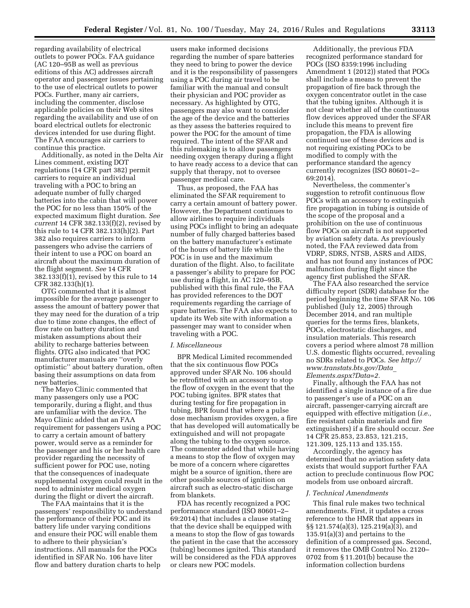regarding availability of electrical outlets to power POCs. FAA guidance (AC 120–95B as well as previous editions of this AC) addresses aircraft operator and passenger issues pertaining to the use of electrical outlets to power POCs. Further, many air carriers, including the commenter, disclose applicable policies on their Web sites regarding the availability and use of on board electrical outlets for electronic devices intended for use during flight. The FAA encourages air carriers to continue this practice.

Additionally, as noted in the Delta Air Lines comment, existing DOT regulations (14 CFR part 382) permit carriers to require an individual traveling with a POC to bring an adequate number of fully charged batteries into the cabin that will power the POC for no less than 150% of the expected maximum flight duration. *See current* 14 CFR 382.133(f)(2), revised by this rule to 14 CFR 382.133(h)(2). Part 382 also requires carriers to inform passengers who advise the carriers of their intent to use a POC on board an aircraft about the maximum duration of the flight segment. *See* 14 CFR 382.133(f)(1), revised by this rule to 14 CFR 382.133(h)(1).

OTG commented that it is almost impossible for the average passenger to assess the amount of battery power that they may need for the duration of a trip due to time zone changes, the effect of flow rate on battery duration and mistaken assumptions about their ability to recharge batteries between flights. OTG also indicated that POC manufacturer manuals are ''overly optimistic'' about battery duration, often basing their assumptions on data from new batteries.

The Mayo Clinic commented that many passengers only use a POC temporarily, during a flight, and thus are unfamiliar with the device. The Mayo Clinic added that an FAA requirement for passengers using a POC to carry a certain amount of battery power, would serve as a reminder for the passenger and his or her health care provider regarding the necessity of sufficient power for POC use, noting that the consequences of inadequate supplemental oxygen could result in the need to administer medical oxygen during the flight or divert the aircraft.

The FAA maintains that it is the passengers' responsibility to understand the performance of their POC and its battery life under varying conditions and ensure their POC will enable them to adhere to their physician's instructions. All manuals for the POCs identified in SFAR No. 106 have liter flow and battery duration charts to help

users make informed decisions regarding the number of spare batteries they need to bring to power the device and it is the responsibility of passengers using a POC during air travel to be familiar with the manual and consult their physician and POC provider as necessary. As highlighted by OTG, passengers may also want to consider the age of the device and the batteries as they assess the batteries required to power the POC for the amount of time required. The intent of the SFAR and this rulemaking is to allow passengers needing oxygen therapy during a flight to have ready access to a device that can supply that therapy, not to oversee passenger medical care.

Thus, as proposed, the FAA has eliminated the SFAR requirement to carry a certain amount of battery power. However, the Department continues to allow airlines to require individuals using POCs inflight to bring an adequate number of fully charged batteries based on the battery manufacturer's estimate of the hours of battery life while the POC is in use and the maximum duration of the flight. Also, to facilitate a passenger's ability to prepare for POC use during a flight, in AC 120–95B, published with this final rule, the FAA has provided references to the DOT requirements regarding the carriage of spare batteries. The FAA also expects to update its Web site with information a passenger may want to consider when traveling with a POC.

#### *I. Miscellaneous*

BPR Medical Limited recommended that the six continuous flow POCs approved under SFAR No. 106 should be retrofitted with an accessory to stop the flow of oxygen in the event that the POC tubing ignites. BPR states that during testing for fire propagation in tubing, BPR found that where a pulse dose mechanism provides oxygen, a fire that has developed will automatically be extinguished and will not propagate along the tubing to the oxygen source. The commenter added that while having a means to stop the flow of oxygen may be more of a concern where cigarettes might be a source of ignition, there are other possible sources of ignition on aircraft such as electro-static discharge from blankets.

FDA has recently recognized a POC performance standard (ISO 80601–2– 69:2014) that includes a clause stating that the device shall be equipped with a means to stop the flow of gas towards the patient in the case that the accessory (tubing) becomes ignited. This standard will be considered as the FDA approves or clears new POC models.

Additionally, the previous FDA recognized performance standard for POCs (ISO 8359:1996 including Amendment 1 (2012)) stated that POCs shall include a means to prevent the propagation of fire back through the oxygen concentrator outlet in the case that the tubing ignites. Although it is not clear whether all of the continuous flow devices approved under the SFAR include this means to prevent fire propagation, the FDA is allowing continued use of these devices and is not requiring existing POCs to be modified to comply with the performance standard the agency currently recognizes (ISO 80601–2– 69:2014).

Nevertheless, the commenter's suggestion to retrofit continuous flow POCs with an accessory to extinguish fire propagation in tubing is outside of the scope of the proposal and a prohibition on the use of continuous flow POCs on aircraft is not supported by aviation safety data. As previously noted, the FAA reviewed data from VDRP, SDRS, NTSB, ASRS and AIDS, and has not found any instances of POC malfunction during flight since the agency first published the SFAR.

The FAA also researched the service difficulty report (SDR) database for the period beginning the time SFAR No. 106 published (July 12, 2005) through December 2014, and ran multiple queries for the terms fires, blankets, POCs, electrostatic discharges, and insulation materials. This research covers a period where almost 78 million U.S. domestic flights occurred, revealing no SDRs related to POCs. *See [http://](http://www.transtats.bts.gov/Data_Elements.aspx?Data=2) [www.transtats.bts.gov/Data](http://www.transtats.bts.gov/Data_Elements.aspx?Data=2)*\_ *[Elements.aspx?Data=2.](http://www.transtats.bts.gov/Data_Elements.aspx?Data=2)* 

Finally, although the FAA has not identified a single instance of a fire due to passenger's use of a POC on an aircraft, passenger-carrying aircraft are equipped with effective mitigation (*i.e.,*  fire resistant cabin materials and fire extinguishers) if a fire should occur. *See*  14 CFR 25.853, 23.853, 121.215, 121.309, 125.113 and 135.155.

Accordingly, the agency has determined that no aviation safety data exists that would support further FAA action to preclude continuous flow POC models from use onboard aircraft.

#### *J. Technical Amendments*

This final rule makes two technical amendments. First, it updates a cross reference to the HMR that appears in §§ 121.574(a)(3), 125.219(a)(3), and 135.91(a)(3) and pertains to the definition of a compressed gas. Second, it removes the OMB Control No. 2120– 0702 from § 11.201(b) because the information collection burdens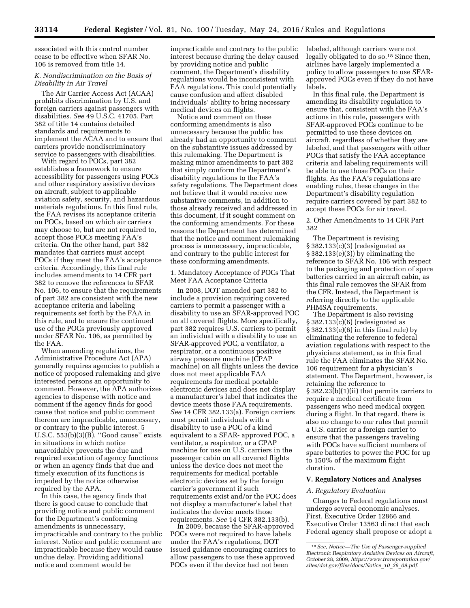associated with this control number cease to be effective when SFAR No. 106 is removed from title 14.

# *K. Nondiscrimination on the Basis of Disability in Air Travel*

The Air Carrier Access Act (ACAA) prohibits discrimination by U.S. and foreign carriers against passengers with disabilities. *See* 49 U.S.C. 41705. Part 382 of title 14 contains detailed standards and requirements to implement the ACAA and to ensure that carriers provide nondiscriminatory service to passengers with disabilities.

With regard to POCs, part 382 establishes a framework to ensure accessibility for passengers using POCs and other respiratory assistive devices on aircraft, subject to applicable aviation safety, security, and hazardous materials regulations. In this final rule, the FAA revises its acceptance criteria on POCs, based on which air carriers may choose to, but are not required to, accept those POCs meeting FAA's criteria. On the other hand, part 382 mandates that carriers must accept POCs if they meet the FAA's acceptance criteria. Accordingly, this final rule includes amendments to 14 CFR part 382 to remove the references to SFAR No. 106, to ensure that the requirements of part 382 are consistent with the new acceptance criteria and labeling requirements set forth by the FAA in this rule, and to ensure the continued use of the POCs previously approved under SFAR No. 106, as permitted by the FAA.

When amending regulations, the Administrative Procedure Act (APA) generally requires agencies to publish a notice of proposed rulemaking and give interested persons an opportunity to comment. However, the APA authorizes agencies to dispense with notice and comment if the agency finds for good cause that notice and public comment thereon are impracticable, unnecessary, or contrary to the public interest. 5 U.S.C. 553(b)(3)(B). ''Good cause'' exists in situations in which notice unavoidably prevents the due and required execution of agency functions or when an agency finds that due and timely execution of its functions is impeded by the notice otherwise required by the APA.

In this case, the agency finds that there is good cause to conclude that providing notice and public comment for the Department's conforming amendments is unnecessary, impracticable and contrary to the public interest. Notice and public comment are impracticable because they would cause undue delay. Providing additional notice and comment would be

impracticable and contrary to the public interest because during the delay caused by providing notice and public comment, the Department's disability regulations would be inconsistent with FAA regulations. This could potentially cause confusion and affect disabled individuals' ability to bring necessary medical devices on flights.

Notice and comment on these conforming amendments is also unnecessary because the public has already had an opportunity to comment on the substantive issues addressed by this rulemaking. The Department is making minor amendments to part 382 that simply conform the Department's disability regulations to the FAA's safety regulations. The Department does not believe that it would receive new substantive comments, in addition to those already received and addressed in this document, if it sought comment on the conforming amendments. For these reasons the Department has determined that the notice and comment rulemaking process is unnecessary, impracticable, and contrary to the public interest for these conforming amendments.

### 1. Mandatory Acceptance of POCs That Meet FAA Acceptance Criteria

In 2008, DOT amended part 382 to include a provision requiring covered carriers to permit a passenger with a disability to use an SFAR-approved POC on all covered flights. More specifically, part 382 requires U.S. carriers to permit an individual with a disability to use an SFAR-approved POC, a ventilator, a respirator, or a continuous positive airway pressure machine (CPAP machine) on all flights unless the device does not meet applicable FAA requirements for medical portable electronic devices and does not display a manufacturer's label that indicates the device meets those FAA requirements. *See* 14 CFR 382.133(a). Foreign carriers must permit individuals with a disability to use a POC of a kind equivalent to a SFAR- approved POC, a ventilator, a respirator, or a CPAP machine for use on U.S. carriers in the passenger cabin on all covered flights unless the device does not meet the requirements for medical portable electronic devices set by the foreign carrier's government if such requirements exist and/or the POC does not display a manufacturer's label that indicates the device meets those requirements. *See* 14 CFR 382.133(b).

In 2009, because the SFAR-approved POCs were not required to have labels under the FAA's regulations, DOT issued guidance encouraging carriers to allow passengers to use these approved POCs even if the device had not been

labeled, although carriers were not legally obligated to do so.18 Since then, airlines have largely implemented a policy to allow passengers to use SFARapproved POCs even if they do not have labels.

In this final rule, the Department is amending its disability regulation to ensure that, consistent with the FAA's actions in this rule, passengers with SFAR-approved POCs continue to be permitted to use these devices on aircraft, regardless of whether they are labeled, and that passengers with other POCs that satisfy the FAA acceptance criteria and labeling requirements will be able to use those POCs on their flights. As the FAA's regulations are enabling rules, these changes in the Department's disability regulation require carriers covered by part 382 to accept these POCs for air travel.

#### 2. Other Amendments to 14 CFR Part 382

The Department is revising § 382.133(c)(3) (redesignated as § 382.133(e)(3)) by eliminating the reference to SFAR No. 106 with respect to the packaging and protection of spare batteries carried in an aircraft cabin, as this final rule removes the SFAR from the CFR. Instead, the Department is referring directly to the applicable PHMSA requirements.

The Department is also revising § 382.133(c)(6) (redesignated as § 382.133(e)(6) in this final rule) by eliminating the reference to federal aviation regulations with respect to the physicians statement, as in this final rule the FAA eliminates the SFAR No. 106 requirement for a physician's statement. The Department, however, is retaining the reference to § 382.23(b)(1)(ii) that permits carriers to require a medical certificate from passengers who need medical oxygen during a flight. In that regard, there is also no change to our rules that permit a U.S. carrier or a foreign carrier to ensure that the passengers traveling with POCs have sufficient numbers of spare batteries to power the POC for up to 150% of the maximum flight duration.

#### **V. Regulatory Notices and Analyses**

#### *A. Regulatory Evaluation*

Changes to Federal regulations must undergo several economic analyses. First, Executive Order 12866 and Executive Order 13563 direct that each Federal agency shall propose or adopt a

<sup>18</sup>*See, Notice—The Use of Passenger-supplied Electronic Respiratory Assistive Devices on Aircraft, October* 28, 2009, *[https://www.transportation.gov/](https://www.transportation.gov/sites/dot.gov/files/docs/Notice_10_28_09.pdf) [sites/dot.gov/files/docs/Notice](https://www.transportation.gov/sites/dot.gov/files/docs/Notice_10_28_09.pdf)*\_*10*\_*28*\_*09.pdf.*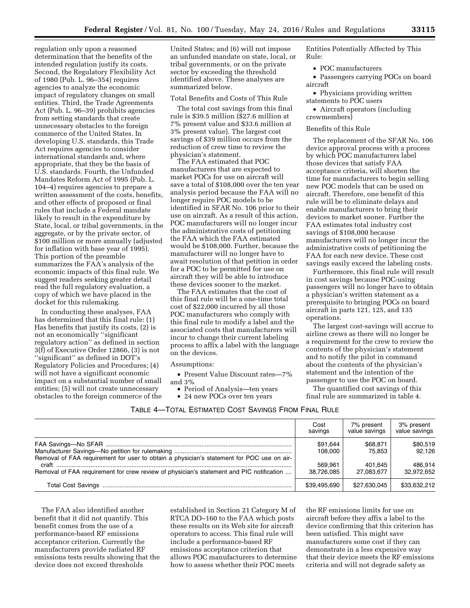regulation only upon a reasoned determination that the benefits of the intended regulation justify its costs. Second, the Regulatory Flexibility Act of 1980 (Pub. L. 96–354) requires agencies to analyze the economic impact of regulatory changes on small entities. Third, the Trade Agreements Act (Pub. L. 96–39) prohibits agencies from setting standards that create unnecessary obstacles to the foreign commerce of the United States. In developing U.S. standards, this Trade Act requires agencies to consider international standards and, where appropriate, that they be the basis of U.S. standards. Fourth, the Unfunded Mandates Reform Act of 1995 (Pub. L. 104–4) requires agencies to prepare a written assessment of the costs, benefits, and other effects of proposed or final rules that include a Federal mandate likely to result in the expenditure by State, local, or tribal governments, in the aggregate, or by the private sector, of \$100 million or more annually (adjusted for inflation with base year of 1995). This portion of the preamble summarizes the FAA's analysis of the economic impacts of this final rule. We suggest readers seeking greater detail read the full regulatory evaluation, a copy of which we have placed in the docket for this rulemaking.

In conducting these analyses, FAA has determined that this final rule: (1) Has benefits that justify its costs, (2) is not an economically ''significant regulatory action'' as defined in section 3(f) of Executive Order 12866, (3) is not ''significant'' as defined in DOT's Regulatory Policies and Procedures; (4) will not have a significant economic impact on a substantial number of small entities; (5) will not create unnecessary obstacles to the foreign commerce of the United States; and (6) will not impose an unfunded mandate on state, local, or tribal governments, or on the private sector by exceeding the threshold identified above. These analyses are summarized below.

#### Total Benefits and Costs of This Rule

The total cost savings from this final rule is \$39.5 million (\$27.6 million at 7% present value and \$33.6 million at 3% present value). The largest cost savings of \$39 million occurs from the reduction of crew time to review the physician's statement.

The FAA estimated that POC manufacturers that are expected to market POCs for use on aircraft will save a total of \$108,000 over the ten year analysis period because the FAA will no longer require POC models to be identified in SFAR No. 106 prior to their use on aircraft. As a result of this action, POC manufacturers will no longer incur the administrative costs of petitioning the FAA which the FAA estimated would be \$108,000. Further, because the manufacturer will no longer have to await resolution of that petition in order for a POC to be permitted for use on aircraft they will be able to introduce these devices sooner to the market.

The FAA estimates that the cost of this final rule will be a one-time total cost of \$22,000 incurred by all those POC manufacturers who comply with this final rule to modify a label and the associated costs that manufacturers will incur to change their current labeling process to affix a label with the language on the devices.

Assumptions:

- Present Value Discount rates—7% and 3%
- Period of Analysis—ten years
- 24 new POCs over ten years

Entities Potentially Affected by This Rule:

• POC manufacturers

• Passengers carrying POCs on board aircraft

• Physicians providing written statements to POC users

• Aircraft operators (including crewmembers)

#### Benefits of this Rule

The replacement of the SFAR No. 106 device approval process with a process by which POC manufacturers label those devices that satisfy FAA acceptance criteria, will shorten the time for manufacturers to begin selling new POC models that can be used on aircraft. Therefore, one benefit of this rule will be to eliminate delays and enable manufacturers to bring their devices to market sooner. Further the FAA estimates total industry cost savings of \$108,000 because manufacturers will no longer incur the administrative costs of petitioning the FAA for each new device. These cost savings easily exceed the labeling costs.

Furthermore, this final rule will result in cost savings because POC-using passengers will no longer have to obtain a physician's written statement as a prerequisite to bringing POCs on board aircraft in parts 121, 125, and 135 operations.

The largest cost-savings will accrue to airline crews as there will no longer be a requirement for the crew to review the contents of the physician's statement and to notify the pilot in command about the contents of the physician's statement and the intention of the passenger to use the POC on board.

The quantified cost savings of this final rule are summarized in table 4.

|                                                                                                   | Cost<br>savings       | 7% present<br>value savings | 3% present<br>value savings |
|---------------------------------------------------------------------------------------------------|-----------------------|-----------------------------|-----------------------------|
| Removal of FAA requirement for user to obtain a physician's statement for POC use on air-         | \$91.644<br>108.000   | \$68.871<br>75.853          | \$80.519<br>92.126          |
| craft<br>Removal of FAA requirement for crew review of physician's statement and PIC notification | 569.961<br>38.726.085 | 401.645<br>27.083.677       | 486.914<br>32.972.652       |
|                                                                                                   | \$39,495,690          | \$27,630,045                | \$33,632,212                |

The FAA also identified another benefit that it did not quantify. This benefit comes from the use of a performance-based RF emissions acceptance criterion. Currently the manufacturers provide radiated RF emissions tests results showing that the device does not exceed thresholds

established in Section 21 Category M of RTCA DO–160 to the FAA which posts these results on its Web site for aircraft operators to access. This final rule will include a performance-based RF emissions acceptance criterion that allows POC manufacturers to determine how to assess whether their POC meets

the RF emissions limits for use on aircraft before they affix a label to the device confirming that this criterion has been satisfied. This might save manufacturers some cost if they can demonstrate in a less expensive way that their device meets the RF emissions criteria and will not degrade safety as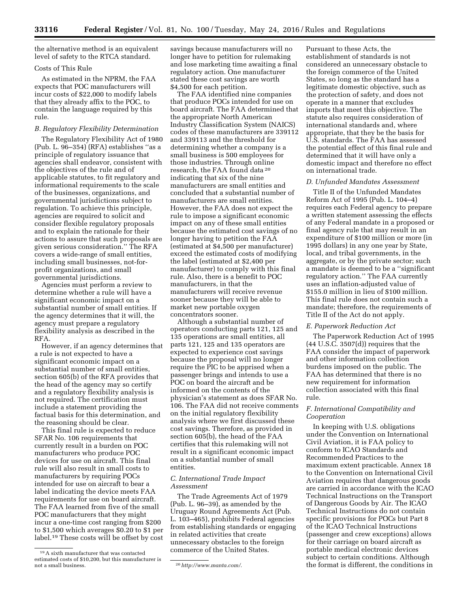the alternative method is an equivalent level of safety to the RTCA standard.

#### Costs of This Rule

As estimated in the NPRM, the FAA expects that POC manufacturers will incur costs of \$22,000 to modify labels that they already affix to the POC, to contain the language required by this rule.

#### *B. Regulatory Flexibility Determination*

The Regulatory Flexibility Act of 1980 (Pub. L. 96–354) (RFA) establishes ''as a principle of regulatory issuance that agencies shall endeavor, consistent with the objectives of the rule and of applicable statutes, to fit regulatory and informational requirements to the scale of the businesses, organizations, and governmental jurisdictions subject to regulation. To achieve this principle, agencies are required to solicit and consider flexible regulatory proposals and to explain the rationale for their actions to assure that such proposals are given serious consideration.'' The RFA covers a wide-range of small entities, including small businesses, not-forprofit organizations, and small governmental jurisdictions.

Agencies must perform a review to determine whether a rule will have a significant economic impact on a substantial number of small entities. If the agency determines that it will, the agency must prepare a regulatory flexibility analysis as described in the RFA.

However, if an agency determines that a rule is not expected to have a significant economic impact on a substantial number of small entities, section 605(b) of the RFA provides that the head of the agency may so certify and a regulatory flexibility analysis is not required. The certification must include a statement providing the factual basis for this determination, and the reasoning should be clear.

This final rule is expected to reduce SFAR No. 106 requirements that currently result in a burden on POC manufacturers who produce POC devices for use on aircraft. This final rule will also result in small costs to manufacturers by requiring POCs intended for use on aircraft to bear a label indicating the device meets FAA requirements for use on board aircraft. The FAA learned from five of the small POC manufacturers that they might incur a one-time cost ranging from \$200 to \$1,500 which averages \$0.20 to \$1 per label.19 These costs will be offset by cost

savings because manufacturers will no longer have to petition for rulemaking and lose marketing time awaiting a final regulatory action. One manufacturer stated these cost savings are worth \$4,500 for each petition.

The FAA identified nine companies that produce POCs intended for use on board aircraft. The FAA determined that the appropriate North American Industry Classification System (NAICS) codes of these manufacturers are 339112 and 339113 and the threshold for determining whether a company is a small business is 500 employees for those industries. Through online research, the FAA found data 20 indicating that six of the nine manufacturers are small entities and concluded that a substantial number of manufacturers are small entities. However, the FAA does not expect the rule to impose a significant economic impact on any of these small entities because the estimated cost savings of no longer having to petition the FAA (estimated at \$4,500 per manufacturer) exceed the estimated costs of modifying the label (estimated at \$2,400 per manufacturer) to comply with this final rule. Also, there is a benefit to POC manufacturers, in that the manufacturers will receive revenue sooner because they will be able to market new portable oxygen concentrators sooner.

Although a substantial number of operators conducting parts 121, 125 and 135 operations are small entities, all parts 121, 125 and 135 operators are expected to experience cost savings because the proposal will no longer require the PIC to be apprised when a passenger brings and intends to use a POC on board the aircraft and be informed on the contents of the physician's statement as does SFAR No. 106. The FAA did not receive comments on the initial regulatory flexibility analysis where we first discussed these cost savings. Therefore, as provided in section 605(b), the head of the FAA certifies that this rulemaking will not result in a significant economic impact on a substantial number of small entities.

#### *C. International Trade Impact Assessment*

The Trade Agreements Act of 1979 (Pub. L. 96–39), as amended by the Uruguay Round Agreements Act (Pub. L. 103–465), prohibits Federal agencies from establishing standards or engaging in related activities that create unnecessary obstacles to the foreign commerce of the United States.

Pursuant to these Acts, the establishment of standards is not considered an unnecessary obstacle to the foreign commerce of the United States, so long as the standard has a legitimate domestic objective, such as the protection of safety, and does not operate in a manner that excludes imports that meet this objective. The statute also requires consideration of international standards and, where appropriate, that they be the basis for U.S. standards. The FAA has assessed the potential effect of this final rule and determined that it will have only a domestic impact and therefore no effect on international trade.

#### *D. Unfunded Mandates Assessment*

Title II of the Unfunded Mandates Reform Act of 1995 (Pub. L. 104–4) requires each Federal agency to prepare a written statement assessing the effects of any Federal mandate in a proposed or final agency rule that may result in an expenditure of \$100 million or more (in 1995 dollars) in any one year by State, local, and tribal governments, in the aggregate, or by the private sector; such a mandate is deemed to be a ''significant regulatory action.'' The FAA currently uses an inflation-adjusted value of \$155.0 million in lieu of \$100 million. This final rule does not contain such a mandate; therefore, the requirements of Title II of the Act do not apply.

#### *E. Paperwork Reduction Act*

The Paperwork Reduction Act of 1995 (44 U.S.C. 3507(d)) requires that the FAA consider the impact of paperwork and other information collection burdens imposed on the public. The FAA has determined that there is no new requirement for information collection associated with this final rule.

# *F. International Compatibility and Cooperation*

In keeping with U.S. obligations under the Convention on International Civil Aviation, it is FAA policy to conform to ICAO Standards and Recommended Practices to the maximum extent practicable. Annex 18 to the Convention on International Civil Aviation requires that dangerous goods are carried in accordance with the ICAO Technical Instructions on the Transport of Dangerous Goods by Air. The ICAO Technical Instructions do not contain specific provisions for POCs but Part 8 of the ICAO Technical Instructions (passenger and crew exceptions) allows for their carriage on board aircraft as portable medical electronic devices subject to certain conditions. Although the format is different, the conditions in

<sup>19</sup>A sixth manufacturer that was contacted estimated costs of \$10,200, but this manufacturer is

not a small business. 20*<http://www.manta.com/>*.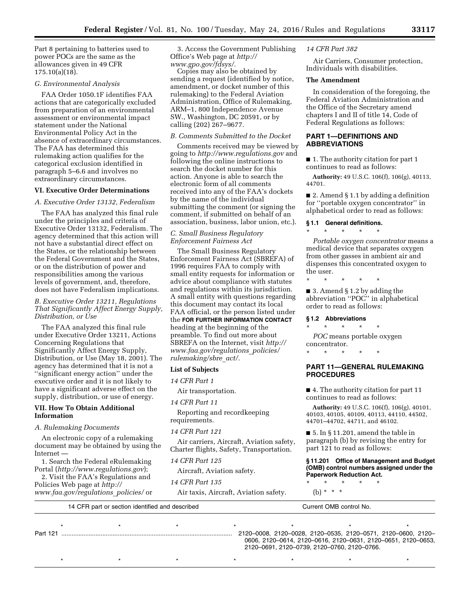Part 8 pertaining to batteries used to power POCs are the same as the allowances given in 49 CFR 175.10(a)(18).

## *G. Environmental Analysis*

FAA Order 1050.1F identifies FAA actions that are categorically excluded from preparation of an environmental assessment or environmental impact statement under the National Environmental Policy Act in the absence of extraordinary circumstances. The FAA has determined this rulemaking action qualifies for the categorical exclusion identified in paragraph 5–6.6 and involves no extraordinary circumstances.

### **VI. Executive Order Determinations**

#### *A. Executive Order 13132, Federalism*

The FAA has analyzed this final rule under the principles and criteria of Executive Order 13132, Federalism. The agency determined that this action will not have a substantial direct effect on the States, or the relationship between the Federal Government and the States, or on the distribution of power and responsibilities among the various levels of government, and, therefore, does not have Federalism implications.

# *B. Executive Order 13211, Regulations That Significantly Affect Energy Supply, Distribution, or Use*

The FAA analyzed this final rule under Executive Order 13211, Actions Concerning Regulations that Significantly Affect Energy Supply, Distribution, or Use (May 18, 2001). The agency has determined that it is not a ''significant energy action'' under the executive order and it is not likely to have a significant adverse effect on the supply, distribution, or use of energy.

#### **VII. How To Obtain Additional Information**

#### *A. Rulemaking Documents*

An electronic copy of a rulemaking document may be obtained by using the Internet —

1. Search the Federal eRulemaking Portal (*<http://www.regulations.gov>*);

2. Visit the FAA's Regulations and Policies Web page at *[http://](http://www.faa.gov/regulations_policies/) [www.faa.gov/regulations](http://www.faa.gov/regulations_policies/)*\_*policies/* or

3. Access the Government Publishing Office's Web page at *[http://](http://www.gpo.gov/fdsys/) [www.gpo.gov/fdsys/.](http://www.gpo.gov/fdsys/)* 

Copies may also be obtained by sending a request (identified by notice, amendment, or docket number of this rulemaking) to the Federal Aviation Administration, Office of Rulemaking, ARM–1, 800 Independence Avenue SW., Washington, DC 20591, or by calling (202) 267–9677.

### *B. Comments Submitted to the Docket*

Comments received may be viewed by going to *<http://www.regulations.gov>*and following the online instructions to search the docket number for this action. Anyone is able to search the electronic form of all comments received into any of the FAA's dockets by the name of the individual submitting the comment (or signing the comment, if submitted on behalf of an association, business, labor union, etc.).

#### *C. Small Business Regulatory Enforcement Fairness Act*

The Small Business Regulatory Enforcement Fairness Act (SBREFA) of 1996 requires FAA to comply with small entity requests for information or advice about compliance with statutes and regulations within its jurisdiction. A small entity with questions regarding this document may contact its local FAA official, or the person listed under the **FOR FURTHER INFORMATION CONTACT** heading at the beginning of the preamble. To find out more about SBREFA on the Internet, visit *[http://](http://www.faa.gov/regulations_policies/rulemaking/sbre_act/) [www.faa.gov/regulations](http://www.faa.gov/regulations_policies/rulemaking/sbre_act/)*\_*policies/ [rulemaking/sbre](http://www.faa.gov/regulations_policies/rulemaking/sbre_act/)*\_*act/.* 

#### **List of Subjects**

*14 CFR Part 1* 

Air transportation.

#### *14 CFR Part 11*

Reporting and recordkeeping requirements.

#### *14 CFR Part 121*

Air carriers, Aircraft, Aviation safety, Charter flights, Safety, Transportation.

#### *14 CFR Part 125*

Aircraft, Aviation safety.

*14 CFR Part 135* 

Air taxis, Aircraft, Aviation safety.

# *14 CFR Part 382*

Air Carriers, Consumer protection, Individuals with disabilities.

#### **The Amendment**

In consideration of the foregoing, the Federal Aviation Administration and the Office of the Secretary amend chapters I and II of title 14, Code of Federal Regulations as follows:

# **PART 1—DEFINITIONS AND ABBREVIATIONS**

■ 1. The authority citation for part 1 continues to read as follows:

**Authority:** 49 U.S.C. 106(f), 106(g), 40113, 44701.

■ 2. Amend § 1.1 by adding a definition for ''portable oxygen concentrator'' in alphabetical order to read as follows:

#### **§ 1.1 General definitions.**

\* \* \* \* \*

*Portable oxygen concentrator* means a medical device that separates oxygen from other gasses in ambient air and dispenses this concentrated oxygen to the user.

\* \* \* \* \*

 $\blacksquare$  3. Amend § 1.2 by adding the abbreviation ''POC'' in alphabetical order to read as follows:

#### **§ 1.2 Abbreviations**

\* \* \* \* \* *POC* means portable oxygen

concentrator. \* \* \* \* \*

#### **PART 11—GENERAL RULEMAKING PROCEDURES**

■ 4. The authority citation for part 11 continues to read as follows:

**Authority:** 49 U.S.C. 106(f), 106(g), 40101, 40103, 40105, 40109, 40113, 44110, 44502, 44701–44702, 44711, and 46102.

 $\blacksquare$  5. In § 11.201, amend the table in paragraph (b) by revising the entry for part 121 to read as follows:

#### **§ 11.201 Office of Management and Budget (OMB) control numbers assigned under the Paperwork Reduction Act.**

\* \* \* \* \* (b) \* \* \*

14 CFR part or section identified and described Current OMB control No. \*\*\*\*\*\*\* Part 121 .................................................................................................... 2120–0008, 2120–0028, 2120–0535, 2120–0571, 2120–0600, 2120– 0606, 2120–0614, 2120–0616, 2120–0631, 2120–0651, 2120–0653, 2120–0691, 2120–0739, 2120–0760, 2120–0766.

\* \* \* \* \* \* \* \* \* \* \* \* \* \* \*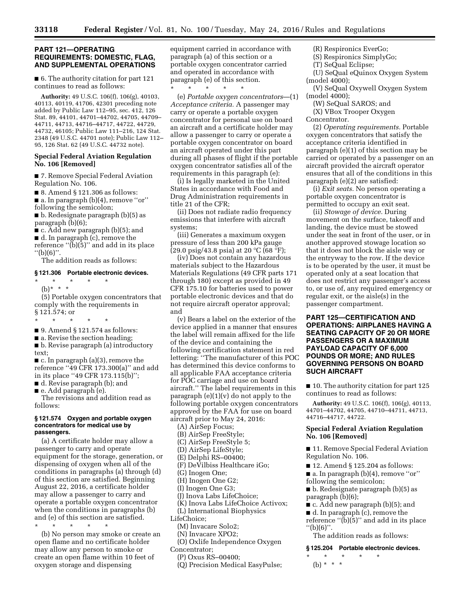#### **PART 121—OPERATING REQUIREMENTS: DOMESTIC, FLAG, AND SUPPLEMENTAL OPERATIONS**

■ 6. The authority citation for part 121 continues to read as follows:

**Authority:** 49 U.S.C. 106(f), 106(g), 40103, 40113, 40119, 41706, 42301 preceding note added by Public Law 112–95, sec. 412, 126 Stat. 89, 44101, 44701–44702, 44705, 44709– 44711, 44713, 44716–44717, 44722, 44729, 44732, 46105; Public Law 111–216, 124 Stat. 2348 (49 U.S.C. 44701 note); Public Law 112– 95, 126 Stat. 62 (49 U.S.C. 44732 note).

#### **Special Federal Aviation Regulation No. 106 [Removed]**

■ 7. Remove Special Federal Aviation Regulation No. 106.

■ 8. Amend § 121.306 as follows:

■ a. In paragraph (b)(4), remove "or"

following the semicolon;

■ b. Redesignate paragraph (b)(5) as paragraph (b)(6);

■ c. Add new paragraph (b)(5); and

■ d. In paragraph (c), remove the

reference " $(b)(\overline{5})$ " and add in its place  $''(b)(6)''$ .

The addition reads as follows:

# **§ 121.306 Portable electronic devices.**

\* \* \* \* \* (b)\* \* \*

(5) Portable oxygen concentrators that comply with the requirements in § 121.574; or

- \* \* \* \* \*
- 9. Amend § 121.574 as follows:
- a. Revise the section heading;

■ b. Revise paragraph (a) introductory text;

 $\blacksquare$  c. In paragraph (a)(3), remove the reference ''49 CFR 173.300(a)'' and add in its place ''49 CFR 173.115(b)'';

- d. Revise paragraph (b); and
- e. Add paragraph (e).

The revisions and addition read as follows:

#### **§ 121.574 Oxygen and portable oxygen concentrators for medical use by passengers.**

(a) A certificate holder may allow a passenger to carry and operate equipment for the storage, generation, or dispensing of oxygen when all of the conditions in paragraphs (a) through (d) of this section are satisfied. Beginning August 22, 2016, a certificate holder may allow a passenger to carry and operate a portable oxygen concentrator when the conditions in paragraphs (b) and (e) of this section are satisfied.

\* \* \* \* \*

(b) No person may smoke or create an open flame and no certificate holder may allow any person to smoke or create an open flame within 10 feet of oxygen storage and dispensing

equipment carried in accordance with paragraph (a) of this section or a portable oxygen concentrator carried and operated in accordance with paragraph (e) of this section. \* \* \* \* \*

(e) *Portable oxygen concentrators*—(1) *Acceptance criteria.* A passenger may carry or operate a portable oxygen concentrator for personal use on board an aircraft and a certificate holder may allow a passenger to carry or operate a portable oxygen concentrator on board an aircraft operated under this part during all phases of flight if the portable oxygen concentrator satisfies all of the requirements in this paragraph (e):

(i) Is legally marketed in the United States in accordance with Food and Drug Administration requirements in title 21 of the CFR;

(ii) Does not radiate radio frequency emissions that interfere with aircraft systems;

(iii) Generates a maximum oxygen pressure of less than 200 kPa gauge  $(29.0 \text{ psig}/43.8 \text{ psia})$  at 20 °C (68 °F);

(iv) Does not contain any hazardous materials subject to the Hazardous Materials Regulations (49 CFR parts 171 through 180) except as provided in 49 CFR 175.10 for batteries used to power portable electronic devices and that do not require aircraft operator approval; and

(v) Bears a label on the exterior of the device applied in a manner that ensures the label will remain affixed for the life of the device and containing the following certification statement in red lettering: ''The manufacturer of this POC has determined this device conforms to all applicable FAA acceptance criteria for POC carriage and use on board aircraft.'' The label requirements in this paragraph  $(e)(1)(v)$  do not apply to the following portable oxygen concentrators approved by the FAA for use on board aircraft prior to May 24, 2016:

(A) AirSep Focus;

- (B) AirSep FreeStyle;
- (C) AirSep FreeStyle 5;
- (D) AirSep LifeStyle;
- (E) Delphi RS–00400;

(F) DeVilbiss Healthcare iGo;

(G) Inogen One;

- (H) Inogen One G2;
- (I) Inogen One G3;
- (J) Inova Labs LifeChoice;
- (K) Inova Labs LifeChoice Activox;

(L) International Biophysics

LifeChoice;

(M) Invacare Solo2;

(N) Invacare XPO2;

(O) Oxlife Independence Oxygen

- Concentrator;
	- (P) Oxus RS–00400;
	- (Q) Precision Medical EasyPulse;

(R) Respironics EverGo;

- (S) Respironics SimplyGo;
- (T) SeQual Eclipse;
- (U) SeQual eQuinox Oxygen System (model 4000);
- (V) SeQual Oxywell Oxygen System (model 4000);
- (W) SeQual SAROS; and

(X) VBox Trooper Oxygen Concentrator.

(2) *Operating requirements.* Portable oxygen concentrators that satisfy the acceptance criteria identified in paragraph (e)(1) of this section may be carried or operated by a passenger on an aircraft provided the aircraft operator ensures that all of the conditions in this paragraph (e)(2) are satisfied:

(i) *Exit seats.* No person operating a portable oxygen concentrator is permitted to occupy an exit seat.

(ii) *Stowage of device.* During movement on the surface, takeoff and landing, the device must be stowed under the seat in front of the user, or in another approved stowage location so that it does not block the aisle way or the entryway to the row. If the device is to be operated by the user, it must be operated only at a seat location that does not restrict any passenger's access to, or use of, any required emergency or regular exit, or the aisle(s) in the passenger compartment.

# **PART 125—CERTIFICATION AND OPERATIONS: AIRPLANES HAVING A SEATING CAPACITY OF 20 OR MORE PASSENGERS OR A MAXIMUM PAYLOAD CAPACITY OF 6,000 POUNDS OR MORE; AND RULES GOVERNING PERSONS ON BOARD SUCH AIRCRAFT**

■ 10. The authority citation for part 125 continues to read as follows:

**Authority:** 49 U.S.C. 106(f), 106(g), 40113, 44701–44702, 44705, 44710–44711, 44713, 44716–44717, 44722.

#### **Special Federal Aviation Regulation No. 106 [Removed]**

■ 11. Remove Special Federal Aviation Regulation No. 106.

■ 12. Amend § 125.204 as follows:

■ a. In paragraph (b)(4), remove "or" following the semicolon;

■ b. Redesignate paragraph (b)(5) as paragraph (b)(6);

- c. Add new paragraph (b)(5); and
- d. In paragraph (c), remove the
- reference ''(b)(5)'' and add in its place ''(b)(6)''.

The addition reads as follows:

#### **§ 125.204 Portable electronic devices.**

\* \* \* \* \* (b) \* \* \*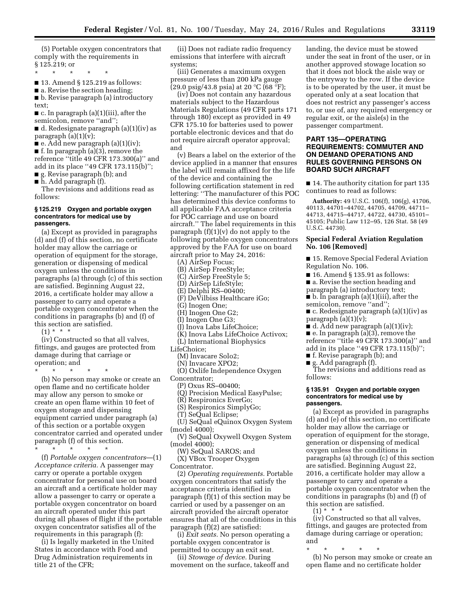(5) Portable oxygen concentrators that comply with the requirements in § 125.219; or

\* \* \* \* \*

■ 13. Amend § 125.219 as follows:

■ a. Revise the section heading;

■ b. Revise paragraph (a) introductory text;

 $\blacksquare$  c. In paragraph (a)(1)(iii), after the semicolon, remove "and";

■ d. Redesignate paragraph (a)(1)(iv) as paragraph (a)(1)(v);

 $\blacksquare$  e. Add new paragraph (a)(1)(iv);

■ f. In paragraph (a)(3), remove the reference ''title 49 CFR 173.300(a)'' and add in its place ''49 CFR 173.115(b)'';

■ g. Revise paragraph (b); and ■ h. Add paragraph (f).

The revisions and additions read as

follows:

#### **§ 125.219 Oxygen and portable oxygen concentrators for medical use by passengers.**

(a) Except as provided in paragraphs (d) and (f) of this section, no certificate holder may allow the carriage or operation of equipment for the storage, generation or dispensing of medical oxygen unless the conditions in paragraphs (a) through (c) of this section are satisfied. Beginning August 22, 2016, a certificate holder may allow a passenger to carry and operate a portable oxygen concentrator when the conditions in paragraphs (b) and (f) of this section are satisfied.

 $(1) * * * *$ 

(iv) Constructed so that all valves, fittings, and gauges are protected from damage during that carriage or operation; and

\* \* \* \* \*

(b) No person may smoke or create an open flame and no certificate holder may allow any person to smoke or create an open flame within 10 feet of oxygen storage and dispensing equipment carried under paragraph (a) of this section or a portable oxygen concentrator carried and operated under paragraph (f) of this section.

\* \* \* \* \*

(f) *Portable oxygen concentrators*—(1) *Acceptance criteria.* A passenger may carry or operate a portable oxygen concentrator for personal use on board an aircraft and a certificate holder may allow a passenger to carry or operate a portable oxygen concentrator on board an aircraft operated under this part during all phases of flight if the portable oxygen concentrator satisfies all of the requirements in this paragraph (f):

(i) Is legally marketed in the United States in accordance with Food and Drug Administration requirements in title 21 of the CFR;

(ii) Does not radiate radio frequency emissions that interfere with aircraft systems;

(iii) Generates a maximum oxygen pressure of less than 200 kPa gauge (29.0 psig/43.8 psia) at 20  $^{\circ}$ C (68  $^{\circ}$ F);

(iv) Does not contain any hazardous materials subject to the Hazardous Materials Regulations (49 CFR parts 171 through 180) except as provided in 49 CFR 175.10 for batteries used to power portable electronic devices and that do not require aircraft operator approval; and

(v) Bears a label on the exterior of the device applied in a manner that ensures the label will remain affixed for the life of the device and containing the following certification statement in red lettering: ''The manufacturer of this POC has determined this device conforms to all applicable FAA acceptance criteria for POC carriage and use on board aircraft.'' The label requirements in this paragraph  $(f)(1)(v)$  do not apply to the following portable oxygen concentrators approved by the FAA for use on board aircraft prior to May 24, 2016:

(A) AirSep Focus;

(B) AirSep FreeStyle;

(C) AirSep FreeStyle 5;

(D) AirSep LifeStyle;

(E) Delphi RS–00400;

(F) DeVilbiss Healthcare iGo;

(G) Inogen One;

(H) Inogen One G2;

(I) Inogen One G3;

(J) Inova Labs LifeChoice;

(K) Inova Labs LifeChoice Activox; (L) International Biophysics

LifeChoice;

(M) Invacare Solo2;

(N) Invacare XPO2;

(O) Oxlife Independence Oxygen

Concentrator;

(P) Oxus RS–00400;

(Q) Precision Medical EasyPulse;

(R) Respironics EverGo;

(S) Respironics SimplyGo;

(T) SeQual Eclipse;

(U) SeQual eQuinox Oxygen System (model 4000);

(V) SeQual Oxywell Oxygen System (model 4000);

(W) SeQual SAROS; and

(X) VBox Trooper Oxygen Concentrator.

(2) *Operating requirements.* Portable oxygen concentrators that satisfy the acceptance criteria identified in paragraph (f)(1) of this section may be carried or used by a passenger on an aircraft provided the aircraft operator ensures that all of the conditions in this paragraph (f)(2) are satisfied:

(i) *Exit seats.* No person operating a portable oxygen concentrator is permitted to occupy an exit seat.

(ii) *Stowage of device.* During movement on the surface, takeoff and landing, the device must be stowed under the seat in front of the user, or in another approved stowage location so that it does not block the aisle way or the entryway to the row. If the device is to be operated by the user, it must be operated only at a seat location that does not restrict any passenger's access to, or use of, any required emergency or regular exit, or the aisle(s) in the passenger compartment.

# **PART 135—OPERATING REQUIREMENTS: COMMUTER AND ON DEMAND OPERATIONS AND RULES GOVERNING PERSONS ON BOARD SUCH AIRCRAFT**

■ 14. The authority citation for part 135 continues to read as follows:

**Authority:** 49 U.S.C. 106(f), 106(g), 41706, 40113, 44701–44702, 44705, 44709, 44711– 44713, 44715–44717, 44722, 44730, 45101– 45105; Public Law 112–95, 126 Stat. 58 (49 U.S.C. 44730).

# **Special Federal Aviation Regulation No. 106 [Removed]**

■ 15. Remove Special Federal Aviation Regulation No. 106.

■ 16. Amend § 135.91 as follows:

■ a. Revise the section heading and

paragraph (a) introductory text; ■ b. In paragraph (a)(1)(iii), after the

semicolon, remove ''and'';

■ c. Redesignate paragraph (a)(1)(iv) as paragraph  $(a)(1)(v)$ ;

 $\bullet$  d. Add new paragraph (a)(1)(iv);

■ e. In paragraph (a)(3), remove the reference ''title 49 CFR 173.300(a)'' and add in its place ''49 CFR 173.115(b)'';

■ f. Revise paragraph (b); and

■ g. Add paragraph (f).

The revisions and additions read as follows:

#### **§ 135.91 Oxygen and portable oxygen concentrators for medical use by passengers.**

(a) Except as provided in paragraphs (d) and (e) of this section, no certificate holder may allow the carriage or operation of equipment for the storage, generation or dispensing of medical oxygen unless the conditions in paragraphs (a) through (c) of this section are satisfied. Beginning August 22, 2016, a certificate holder may allow a passenger to carry and operate a portable oxygen concentrator when the conditions in paragraphs (b) and (f) of this section are satisfied.

 $(1) * * * *$ 

(iv) Constructed so that all valves, fittings, and gauges are protected from damage during carriage or operation; and

\* \* \* \* \* (b) No person may smoke or create an open flame and no certificate holder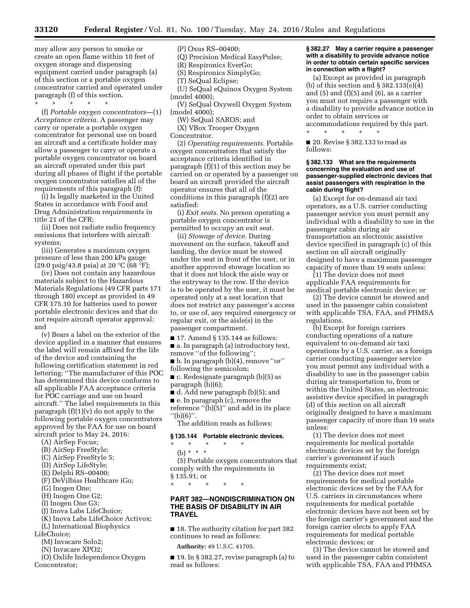may allow any person to smoke or create an open flame within 10 feet of oxygen storage and dispensing equipment carried under paragraph (a) of this section or a portable oxygen concentrator carried and operated under paragraph (f) of this section.

\* \* \* \* \* (f) *Portable oxygen concentrators*—(1) *Acceptance criteria.* A passenger may carry or operate a portable oxygen concentrator for personal use on board an aircraft and a certificate holder may allow a passenger to carry or operate a portable oxygen concentrator on board an aircraft operated under this part during all phases of flight if the portable oxygen concentrator satisfies all of the requirements of this paragraph (f):

(i) Is legally marketed in the United States in accordance with Food and Drug Administration requirements in title 21 of the CFR;

(ii) Does not radiate radio frequency emissions that interfere with aircraft systems;

(iii) Generates a maximum oxygen pressure of less than 200 kPa gauge (29.0 psig/43.8 psia) at 20 °C (68 °F);

(iv) Does not contain any hazardous materials subject to the Hazardous Materials Regulations (49 CFR parts 171 through 180) except as provided in 49 CFR 175.10 for batteries used to power portable electronic devices and that do not require aircraft operator approval; and

(v) Bears a label on the exterior of the device applied in a manner that ensures the label will remain affixed for the life of the device and containing the following certification statement in red lettering: ''The manufacturer of this POC has determined this device conforms to all applicable FAA acceptance criteria for POC carriage and use on board aircraft.'' The label requirements in this paragraph  $(f)(1)(v)$  do not apply to the following portable oxygen concentrators approved by the FAA for use on board aircraft prior to May 24, 2016:

- (A) AirSep Focus;
- (B) AirSep FreeStyle;
- (C) AirSep FreeStyle 5;
- (D) AirSep LifeStyle;
- (E) Delphi RS–00400;
- (F) DeVilbiss Healthcare iGo;
- (G) Inogen One;
- (H) Inogen One G2;
- (I) Inogen One G3;
- (J) Inova Labs LifeChoice;
- (K) Inova Labs LifeChoice Activox;
- (L) International Biophysics
- LifeChoice;
	- (M) Invacare Solo2;
	- (N) Invacare XPO2;
	- (O) Oxlife Independence Oxygen
- Concentrator;

# (P) Oxus RS–00400;

(Q) Precision Medical EasyPulse;

(R) Respironics EverGo;

- (S) Respironics SimplyGo;
- (T) SeQual Eclipse;
- (U) SeQual eQuinox Oxygen System (model 4000);
- (V) SeQual Oxywell Oxygen System (model 4000);
	- (W) SeQual SAROS; and
- (X) VBox Trooper Oxygen

Concentrator.

(2) *Operating requirements.* Portable oxygen concentrators that satisfy the acceptance criteria identified in paragraph (f)(1) of this section may be carried on or operated by a passenger on board an aircraft provided the aircraft operator ensures that all of the conditions in this paragraph (f)(2) are satisfied:

(i) *Exit seats.* No person operating a portable oxygen concentrator is permitted to occupy an exit seat.

(ii) *Stowage of device.* During movement on the surface, takeoff and landing, the device must be stowed under the seat in front of the user, or in another approved stowage location so that it does not block the aisle way or the entryway to the row. If the device is to be operated by the user, it must be operated only at a seat location that does not restrict any passenger's access to, or use of, any required emergency or regular exit, or the aisle(s) in the passenger compartment.

■ 17. Amend § 135.144 as follows:

■ a. In paragraph (a) introductory text, remove "of the following";

■ b. In paragraph (b)(4), remove "or" following the semicolon;

■ c. Redesignate paragraph (b)(5) as paragraph (b)(6);

■ d. Add new paragraph (b)(5); and

■ e. In paragraph (c), remove the reference ''(b)(5)'' and add in its place

''(b)(6)''.

The addition reads as follows:

# **§ 135.144 Portable electronic devices.**

\* \* \* \* \*

\* \* \* \* \*

(b) \* \* \*

(5) Portable oxygen concentrators that comply with the requirements in § 135.91; or

# **PART 382—NONDISCRIMINATION ON THE BASIS OF DISABILITY IN AIR TRAVEL**

■ 18. The authority citation for part 382 continues to read as follows:

**Authority:** 49 U.S.C. 41705.

■ 19. In § 382.27, revise paragraph (a) to read as follows:

#### **§ 382.27 May a carrier require a passenger with a disability to provide advance notice in order to obtain certain specific services in connection with a flight?**

(a) Except as provided in paragraph (b) of this section and  $\S 382.133(e)(4)$ and  $(5)$  and  $(f)(5)$  and  $(6)$ , as a carrier you must not require a passenger with a disability to provide advance notice in order to obtain services or accommodations required by this part.

■ 20. Revise § 382.133 to read as follows:

\* \* \* \* \*

#### **§ 382.133 What are the requirements concerning the evaluation and use of passenger-supplied electronic devices that assist passengers with respiration in the cabin during flight?**

(a) Except for on-demand air taxi operators, as a U.S. carrier conducting passenger service you must permit any individual with a disability to use in the passenger cabin during air transportation an electronic assistive device specified in paragraph (c) of this section on all aircraft originally designed to have a maximum passenger capacity of more than 19 seats unless:

(1) The device does not meet applicable FAA requirements for medical portable electronic device; or

(2) The device cannot be stowed and used in the passenger cabin consistent with applicable TSA, FAA, and PHMSA regulations.

(b) Except for foreign carriers conducting operations of a nature equivalent to on-demand air taxi operations by a U.S. carrier, as a foreign carrier conducting passenger service you must permit any individual with a disability to use in the passenger cabin during air transportation to, from or within the United States, an electronic assistive device specified in paragraph (d) of this section on all aircraft originally designed to have a maximum passenger capacity of more than 19 seats unless:

(1) The device does not meet requirements for medical portable electronic devices set by the foreign carrier's government if such requirements exist;

(2) The device does not meet requirements for medical portable electronic devices set by the FAA for U.S. carriers in circumstances where requirements for medical portable electronic devices have not been set by the foreign carrier's government and the foreign carrier elects to apply FAA requirements for medical portable electronic devices; or

(3) The device cannot be stowed and used in the passenger cabin consistent with applicable TSA, FAA and PHMSA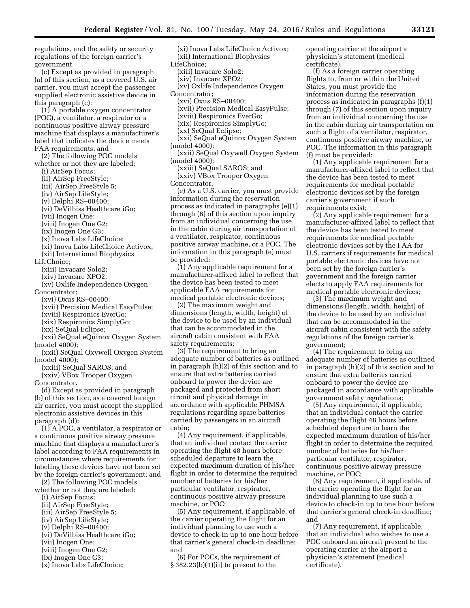regulations, and the safety or security regulations of the foreign carrier's government.

(c) Except as provided in paragraph (a) of this section, as a covered U.S. air carrier, you must accept the passenger supplied electronic assistive device in this paragraph (c):

(1) A portable oxygen concentrator (POC), a ventilator, a respirator or a continuous positive airway pressure machine that displays a manufacturer's label that indicates the device meets FAA requirements; and

(2) The following POC models whether or not they are labeled:

- (i) AirSep Focus;
- (ii) AirSep FreeStyle;
- (iii) AirSep FreeStyle 5;
- (iv) AirSep LifeStyle;
- (v) Delphi RS–00400;
- (vi) DeVilbiss Healthcare iGo;
- (vii) Inogen One;
- (viii) Inogen One G2;
- (ix) Inogen One G3;
- (x) Inova Labs LifeChoice;
- (xi) Inova Labs LifeChoice Activox;
- (xii) International Biophysics
- LifeChoice;
	- (xiii) Invacare Solo2;
	- (xiv) Invacare XPO2;
	- (xv) Oxlife Independence Oxygen

Concentrator;

(xvi) Oxus RS–00400;

- (xvii) Precision Medical EasyPulse;
- (xviii) Respironics EverGo;
- (xix) Respironics SimplyGo;
- (xx) SeQual Eclipse;
- (xxi) SeQual eQuinox Oxygen System (model 4000);

(xxii) SeQual Oxywell Oxygen System (model 4000);

(xxiii) SeQual SAROS; and

(xxiv) VBox Trooper Oxygen

Concentrator.

(d) Except as provided in paragraph (b) of this section, as a covered foreign air carrier, you must accept the supplied electronic assistive devices in this paragraph (d):

(1) A POC, a ventilator, a respirator or a continuous positive airway pressure machine that displays a manufacturer's label according to FAA requirements in circumstances where requirements for labeling these devices have not been set by the foreign carrier's government; and

(2) The following POC models whether or not they are labeled:

- (i) AirSep Focus;
- (ii) AirSep FreeStyle;
- (iii) AirSep FreeStyle 5;
- (iv) AirSep LifeStyle;
- (v) Delphi RS–00400;
- (vi) DeVilbiss Healthcare iGo;
- (vii) Inogen One;
- (viii) Inogen One G2;
- (ix) Inogen One G3;
- (x) Inova Labs LifeChoice;

(xi) Inova Labs LifeChoice Activox; (xii) International Biophysics LifeChoice;

(xiii) Invacare Solo2;

(xiv) Invacare XPO2;

(xv) Oxlife Independence Oxygen

- Concentrator;
	- (xvi) Oxus RS–00400;
	- (xvii) Precision Medical EasyPulse;
	- (xviii) Respironics EverGo;
	- (xix) Respironics SimplyGo;
	- (xx) SeQual Eclipse;
- (xxi) SeQual eQuinox Oxygen System (model 4000);
- (xxii) SeQual Oxywell Oxygen System (model 4000);
- (xxiii) SeQual SAROS; and (xxiv) VBox Trooper Oxygen
- Concentrator.

(e) As a U.S. carrier, you must provide information during the reservation process as indicated in paragraphs (e)(1) through (6) of this section upon inquiry from an individual concerning the use in the cabin during air transportation of a ventilator, respirator, continuous positive airway machine, or a POC. The information in this paragraph (e) must be provided:

(1) Any applicable requirement for a manufacturer-affixed label to reflect that the device has been tested to meet applicable FAA requirements for medical portable electronic devices;

(2) The maximum weight and dimensions (length, width, height) of the device to be used by an individual that can be accommodated in the aircraft cabin consistent with FAA safety requirements;

(3) The requirement to bring an adequate number of batteries as outlined in paragraph (h)(2) of this section and to ensure that extra batteries carried onboard to power the device are packaged and protected from short circuit and physical damage in accordance with applicable PHMSA regulations regarding spare batteries carried by passengers in an aircraft cabin;

(4) Any requirement, if applicable, that an individual contact the carrier operating the flight 48 hours before scheduled departure to learn the expected maximum duration of his/her flight in order to determine the required number of batteries for his/her particular ventilator, respirator, continuous positive airway pressure machine, or POC;

(5) Any requirement, if applicable, of the carrier operating the flight for an individual planning to use such a device to check-in up to one hour before that carrier's general check-in deadline; and

(6) For POCs, the requirement of  $§ 382.23(b)(1)(ii)$  to present to the

operating carrier at the airport a physician's statement (medical certificate).

(f) As a foreign carrier operating flights to, from or within the United States, you must provide the information during the reservation process as indicated in paragraphs (f)(1) through (7) of this section upon inquiry from an individual concerning the use in the cabin during air transportation on such a flight of a ventilator, respirator, continuous positive airway machine, or POC. The information in this paragraph (f) must be provided:

(1) Any applicable requirement for a manufacturer-affixed label to reflect that the device has been tested to meet requirements for medical portable electronic devices set by the foreign carrier's government if such requirements exist;

(2) Any applicable requirement for a manufacturer-affixed label to reflect that the device has been tested to meet requirements for medical portable electronic devices set by the FAA for U.S. carriers if requirements for medical portable electronic devices have not been set by the foreign carrier's government and the foreign carrier elects to apply FAA requirements for medical portable electronic devices;

(3) The maximum weight and dimensions (length, width, height) of the device to be used by an individual that can be accommodated in the aircraft cabin consistent with the safety regulations of the foreign carrier's government;

(4) The requirement to bring an adequate number of batteries as outlined in paragraph (h)(2) of this section and to ensure that extra batteries carried onboard to power the device are packaged in accordance with applicable government safety regulations;

(5) Any requirement, if applicable, that an individual contact the carrier operating the flight 48 hours before scheduled departure to learn the expected maximum duration of his/her flight in order to determine the required number of batteries for his/her particular ventilator, respirator, continuous positive airway pressure machine, or POC;

(6) Any requirement, if applicable, of the carrier operating the flight for an individual planning to use such a device to check-in up to one hour before that carrier's general check-in deadline; and

(7) Any requirement, if applicable, that an individual who wishes to use a POC onboard an aircraft present to the operating carrier at the airport a physician's statement (medical certificate).